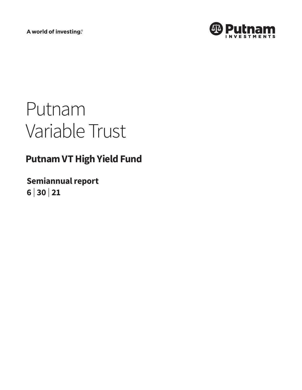A world of investing®



# Putnam Variable Trust

# **Putnam VT High Yield Fund**

**Semiannual report 6 <sup>|</sup> 30 <sup>|</sup> 21**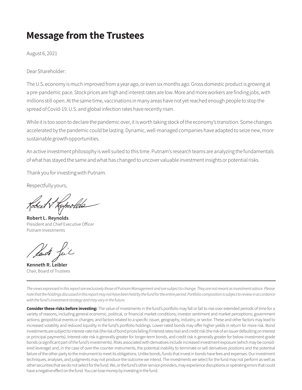# **Message from the Trustees**

August 6, 2021

Dear Shareholder:

The U.S. economy is much improved from a year ago, or even six months ago. Gross domestic product is growing at a pre-pandemic pace. Stock prices are high and interest rates are low. More and more workers are finding jobs, with millions still open. At the same time, vaccinations in many areas have not yet reached enough people to stop the spread of Covid-19. U.S. and global infection rates have recently risen.

While it is too soon to declare the pandemic over, it is worth taking stock of the economy's transition. Some changes accelerated by the pandemic could be lasting. Dynamic, well-managed companies have adapted to seize new, more sustainable growth opportunities.

An active investment philosophy is well suited to this time. Putnam's research teams are analyzing the fundamentals of what has stayed the same and what has changed to uncover valuable investment insights or potential risks.

Thank you for investing with Putnam.

Respectfully yours,

**Robert L. Reynolds** President and Chief Executive Officer Putnam Investments

**Kenneth R. Leibler** Chair, Board of Trustees

*The views expressed in this report are exclusively those of Putnam Management and are subject to change. They are not meant as investment advice. Please note that the holdings discussed in this report may not have been held by the fund for the entire period. Portfolio composition is subject to review in accordance with the fund's investment strategy and may vary in the future.*

**Consider these risks before investing:** The value of investments in the fund's portfolio may fall or fail to rise over extended periods of time for a variety of reasons, including general economic, political, or financial market conditions; investor sentiment and market perceptions; government actions; geopolitical events or changes; and factors related to a specific issuer, geography, industry, or sector. These and other factors may lead to increased volatility and reduced liquidity in the fund's portfolio holdings. Lower-rated bonds may offer higher yields in return for more risk. Bond investments are subject to interest-rate risk (the risk of bond prices falling if interest rates rise) and credit risk (the risk of an issuer defaulting on interest or principal payments). Interest-rate risk is generally greater for longer-term bonds, and credit risk is generally greater for below-investment-grade bonds (a significant part of the fund's investments). Risks associated with derivatives include increased investment exposure (which may be considered leverage) and, in the case of over-the-counter instruments, the potential inability to terminate or sell derivatives positions and the potential failure of the other party to the instrument to meet its obligations. Unlike bonds, funds that invest in bonds have fees and expenses. Our investment techniques, analyses, and judgments may not produce the outcome we intend. The investments we select for the fund may not perform as well as other securities that we do not select for the fund. We, or the fund's other service providers, may experience disruptions or operating errors that could have a negative effect on the fund. You can lose money by investing in the fund.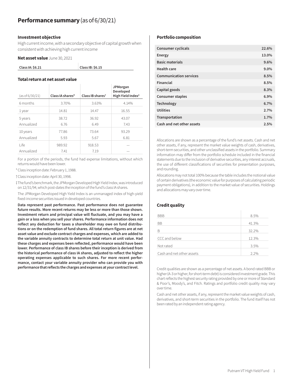#### **Investment objective**

High current income, with a secondary objective of capital growth when consistent with achieving high current income

#### **Net asset value** June 30, 2021

#### **Total return at net asset value**

| (as of 6/30/21) | Class IA shares* | Class IB shares <sup>t</sup> | JPMorgan<br>Developed<br>High Yield Index <sup>‡</sup> |
|-----------------|------------------|------------------------------|--------------------------------------------------------|
| 6 months        | 3.70%            | 3.63%                        | 4.14%                                                  |
| 1 year          | 14.81            | 14.47                        | 16.55                                                  |
| 5 years         | 38.72            | 36.92                        | 43.07                                                  |
| Annualized      | 6.76             | 6.49                         | 7.43                                                   |
| 10 years        | 77.86            | 73.64                        | 93.29                                                  |
| Annualized      | 5.93             | 5.67                         | 6.81                                                   |
| l ife           | 989.92           | 918.53                       |                                                        |
| Annualized      | 7.41             | 7.19                         |                                                        |

For a portion of the periods, the fund had expense limitations, without which returns would have been lower.

\*Class inception date: February 1, 1988.

†Class inception date: April 30, 1998.

‡The fund's benchmark, the JPMorgan Developed High Yield Index, was introduced on 12/31/94, which post-dates the inception of the fund's class IA shares.

The JPMorgan Developed High Yield Index is an unmanaged index of high-yield fixed-income securities issued in developed countries.

**Data represent past performance. Past performance does not guarantee future results. More recent returns may be less or more than those shown. Investment return and principal value will fluctuate, and you may have a gain or a loss when you sell your shares. Performance information does not reflect any deduction for taxes a shareholder may owe on fund distributions or on the redemption of fund shares. All total return figures are at net asset value and exclude contract charges and expenses, which are added to the variable annuity contracts to determine total return at unit value. Had these charges and expenses been reflected, performance would have been lower. Performance of class IB shares before their inception is derived from the historical performance of class IA shares, adjusted to reflect the higher operating expenses applicable to such shares. For more recent performance, contact your variable annuity provider who can provide you with performance that reflects the charges and expenses at your contract level.**

#### **Portfolio composition**

| <b>Consumer cyclicals</b>     | 22.6%   |
|-------------------------------|---------|
| Energy                        | 13.0%   |
| <b>Basic materials</b>        | 9.6%    |
| <b>Health care</b>            | $9.0\%$ |
| <b>Communication services</b> | 8.5%    |
| Financial                     | 8.5%    |
| Capital goods                 | 8.3%    |
| <b>Consumer staples</b>       | 6.9%    |
| <b>Technology</b>             | 6.7%    |
| <b>Utilities</b>              | 2.7%    |
| Transportation                | 1.7%    |
| Cash and net other assets     | 2.5%    |

Allocations are shown as a percentage of the fund's net assets. Cash and net other assets, if any, represent the market value weights of cash, derivatives, short-term securities, and other unclassified assets in the portfolio. Summary information may differ from the portfolio schedule included in the financial statements due to the inclusion of derivative securities, any interest accruals, the use of different classifications of securities for presentation purposes, and rounding.

Allocations may not total 100% because the table includes the notional value of certain derivatives (the economic value for purposes of calculating periodic payment obligations), in addition to the market value of securities. Holdings and allocations may vary over time.

#### **Credit quality**

| <b>BBB</b>                | 8.5%  |
|---------------------------|-------|
| <b>BB</b>                 | 41.3% |
| B                         | 32.2% |
| CCC and below             | 12.3% |
| Not rated                 | 3.5%  |
| Cash and net other assets | 2.2%  |

Credit qualities are shown as a percentage of net assets. A bond rated BBB or higher (A-3 or higher, for short-term debt) is considered investment grade. This chart reflects the highest security rating provided by one or more of Standard & Poor's, Moody's, and Fitch. Ratings and portfolio credit quality may vary over time.

Cash and net other assets, if any, represent the market value weights of cash, derivatives, and short-term securities in the portfolio. The fund itself has not been rated by an independent rating agency.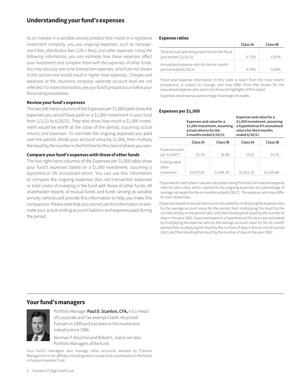# **Understanding your fund's expenses**

*As an investor in a variable annuity product that invests in a registered investment company, you pay ongoing expenses, such as management fees, distribution fees (12b-1 fees), and other expenses. Using the following information, you can estimate how these expenses affect your investment and compare them with the expenses of other funds. You may also pay one-time transaction expenses, which are not shown in this section and would result in higher total expenses. Charges and*  expenses at the insurance company separate account level are not *reflected. For more information, see your fund's prospectus or talk to your financial representative.*

#### **Review your fund's expenses**

The two left-hand columns of the Expenses per \$1,000 table show the expenses you would have paid on a \$1,000 investment in your fund from  $1/1/21$  to  $6/30/21$ . They also show how much a \$1,000 investment would be worth at the close of the period, *assuming actual returns and expenses.* To estimate the ongoing expenses you paid over the period, divide your account value by \$1,000, then multiply the result by the number in the first line for the class of shares you own.

#### **Compare your fund's expenses with those of other funds**

The two right-hand columns of the Expenses per \$1,000 table show your fund's expenses based on a \$1,000 investment, *assuming a hypothetical 5% annualized return.* You can use this information to compare the ongoing expenses (but not transaction expenses or total costs) of investing in the fund with those of other funds. All shareholder reports of mutual funds and funds serving as variable annuity vehicles will provide this information to help you make this comparison. Please note that you cannot use this information to estimate your actual ending account balance and expenses paid during the period.

#### **Expense ratios**

|                                                                       | Class IA | Class IB |
|-----------------------------------------------------------------------|----------|----------|
| Total annual operating expenses for the fiscal<br>year ended 12/31/20 | 0.72%    | 0.97%    |
| Annualized expense ratio for the six-month<br>period ended 6/30/21    | 0.70%    | በ ዓ5%    |

Fiscal year expense information in this table is taken from the most recent prospectus, is subject to change, and may differ from that shown for the annualized expense ratio and in the financial highlights of this report.

Expenses are shown as a percentage of average net assets.

#### **Expenses per \$1,000**

|                                     | Expenses and value for a<br>\$1,000 investment, assuming<br>actual returns for the<br>6 months ended 6/30/21 |            | Expenses and value for a<br>\$1,000 investment, assuming<br>a hypothetical 5% annualized<br>return for the 6 months<br>ended 6/30/21 |            |
|-------------------------------------|--------------------------------------------------------------------------------------------------------------|------------|--------------------------------------------------------------------------------------------------------------------------------------|------------|
|                                     | Class IA                                                                                                     | Class IB   | Class IA                                                                                                                             | Class IB   |
| Expenses paid<br>per \$1,000*†      | \$3.54                                                                                                       | \$4.80     | \$3.51                                                                                                                               | \$4.76     |
| Ending value<br>(after<br>expenses) | \$1,037.00                                                                                                   | \$1,036.30 | \$1,021.32                                                                                                                           | \$1,020.08 |

\*Expenses for each share class are calculated using the fund's annualized expense ratio for each class, which represents the ongoing expenses as a percentage of average net assets for the six months ended 6/30/21. The expense ratio may differ for each share class.

†Expenses based on actual returns are calculated by multiplying the expense ratio by the average account value for the period; then multiplying the result by the number of days in the period (181); and then dividing that result by the number of days in the year (365). Expenses based on a hypothetical 5% return are calculated by multiplying the expense ratio by the average account value for the six-month period; then multiplying the result by the number of days in the six-month period (181); and then dividing that result by the number of days in the year (365).

# **Your fund's managers**



Portfolio Manager **Paul D. Scanlon, CFA,** is Co-Head of Corporate and Tax-exempt Credit. He joined Putnam in 1999 and has been in the investment industry since 1986.

Norman P. Boucher and Robert L. Salvin are also Portfolio Managers of the fund.

Your fund's managers also manage other accounts advised by Putnam Management or an affiliate, including retail mutual fund counterparts to the funds in Putnam Variable Trust.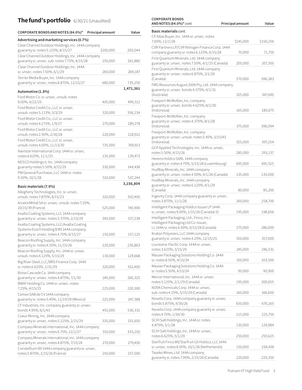# **The fund's portfolio** 6/30/21 (Unaudited)

| CORPORATE BONDS AND NOTES (84.0%)* Principal amount                                                                               |           | Value     |
|-----------------------------------------------------------------------------------------------------------------------------------|-----------|-----------|
| Advertising and marketing services (0.7%)<br>Clear Channel Outdoor Holdings, Inc. 144A company                                    |           |           |
| guaranty sr. notes 5.125%, 8/15/27                                                                                                | \$200,000 | 205,044   |
| Clear Channel Outdoor Holdings, Inc. 144A company<br>guaranty sr. unsec. sub. notes 7.75%, 4/15/28                                | 250,000   | 261,880   |
| Clear Channel Outdoor Holdings, Inc. 144A<br>sr. unsec. notes 7.50%, 6/1/29                                                       | 260,000   | 269,187   |
| Terrier Media Buyer, Inc. 144A company<br>guaranty sr. unsec. notes 8.875%, 12/15/27                                              | 680,000   | 735,250   |
| Automotive (1.8%)                                                                                                                 |           | 1,471,361 |
| Ford Motor Co. sr. unsec. unsub. notes<br>9.00%, 4/22/25                                                                          | 405,000   | 499,312   |
| Ford Motor Credit Co., LLC sr. unsec.                                                                                             |           |           |
| unsub. notes 5.113%, 5/3/29                                                                                                       | 320,000   | 358,234   |
| Ford Motor Credit Co., LLC sr. unsec.<br>unsub. notes 4.271%, 1/9/27                                                              | 270,000   | 289,278   |
| Ford Motor Credit Co., LLC sr. unsec.                                                                                             |           |           |
| unsub. notes 2.90%, 2/16/28                                                                                                       | 220,000   | 218,912   |
| Ford Motor Credit Co., LLC sr. unsec.<br>unsub. notes 4.00%, 11/13/30                                                             | 735,000   | 769,913   |
| Navistar International Corp. 144A sr. unsec.                                                                                      |           |           |
| notes 6.625%, 11/1/25                                                                                                             | 135,000   | 139,473   |
| NESCO Holdings II, Inc. 144A company<br>guaranty notes 5.50%, 4/15/29                                                             | 330,000   | 344,438   |
| PM General Purchaser, LLC 144Asr. notes<br>9.50%, 10/1/28                                                                         | 510,000   | 537,244   |
|                                                                                                                                   |           | 3,156,804 |
| Basic materials (7.9%)                                                                                                            |           |           |
| Allegheny Technologies, Inc. sr. unsec.<br>unsub. notes 7.875%, 8/15/23                                                           | 320,000   | 350,400   |
| ArcelorMittal SA sr. unsec. unsub. notes 7.25%,                                                                                   |           |           |
| 10/15/39 (France)                                                                                                                 | 525,000   | 740,906   |
| Axalta Coating Systems, LLC 144A company<br>guaranty sr. unsec. notes 3.375%, 2/15/29                                             | 345,000   | 337,238   |
| Axalta Coating Systems, LLC/Axalta Coating<br>Systems Dutch Holding B BV 144A company<br>guaranty sr. unsec. notes 4.75%, 6/15/27 | 150,000   | 157,125   |
| Beacon Roofing Supply, Inc. 144A company                                                                                          |           |           |
| guaranty sr. notes 4.50%, 11/15/26                                                                                                | 220,000   | 230,863   |
| Beacon Roofing Supply, Inc. 144A sr. unsec.<br>unsub. notes 4.125%, 5/15/29                                                       | 130,000   | 129,668   |
| Big River Steel, LLC/BRS Finance Corp. 144A<br>sr. notes 6.625%, 1/31/29                                                          | 320,000   | 352,400   |
| Boise Cascade Co. 144A company                                                                                                    |           |           |
| guaranty sr. unsec. notes 4.875%, 7/1/30<br>BWAY Holding Co. 144A sr. unsec. notes                                                | 245,000   | 260,325   |
| 7.25%, 4/15/25                                                                                                                    | 225,000   | 220,500   |
| Cemex SAB de CV 144A company<br>guaranty sr. notes 5.45%, 11/19/29 (Mexico)                                                       | 225,000   | 247,388   |
| CF Industries, Inc. company guaranty sr. unsec.<br>bonds 4.95%, 6/1/43                                                            | 455,000   | 536,331   |
| Coeur Mining, Inc. 144A company<br>guaranty sr. unsec. notes 5.125%, 2/15/29                                                      | 335,000   | 331,650   |
| Compass Minerals International, Inc. 144A company                                                                                 |           |           |
| guaranty sr. unsec. notes 6.75%, 12/1/27                                                                                          | 310,000   | 333,250   |
| Compass Minerals International, Inc. 144A company<br>guaranty sr. unsec. notes 4.875%, 7/15/24                                    | 270,000   | 279,450   |
| Constellium NV 144A company guaranty sr. unsec.                                                                                   |           |           |
| notes 5.875%, 2/15/26 (France)                                                                                                    | 250,000   | 257,500   |

| <b>CORPORATE BONDS</b><br>AND NOTES (84.0%)* cont.                                                | <b>Principal amount</b> | Value     |
|---------------------------------------------------------------------------------------------------|-------------------------|-----------|
| Basic materials cont.                                                                             |                         |           |
| CP Atlas Buyer, Inc. 144A sr. unsec. notes<br>7.00%, 12/1/28                                      | \$145,000               | \$150,256 |
| CVR Partners LP/CVR Nitrogen Finance Corp. 144A<br>company guaranty sr. notes 6.125%, 6/15/28     | 70,000                  | 71,750    |
| First Quantum Minerals, Ltd. 144A company<br>guaranty sr. unsec. notes 7.50%, 4/1/25 (Canada)     | 200,000                 | 207,500   |
| First Quantum Minerals, Ltd. 144A company<br>guaranty sr. unsec. notes 6.875%, 3/1/26             |                         |           |
| (Canada)<br>FMG Resources August 2006 Pty, Ltd. 144A company                                      | 570,000                 | 596,283   |
| guaranty sr. unsec. bonds 4.375%, 4/1/31<br>(Australia)                                           | 325,000                 | 347,695   |
| Freeport-McMoRan, Inc. company                                                                    |                         |           |
| guaranty sr. unsec. bonds 4.625%, 8/1/30<br>(Indonesia)                                           | 165,000                 | 180,675   |
| Freeport-McMoRan, Inc. company                                                                    |                         |           |
| guaranty sr. unsec. notes 4.375%, 8/1/28                                                          |                         |           |
| (Indonesia)                                                                                       | 375,000                 | 396,094   |
| Freeport-McMoRan, Inc. company<br>guaranty sr. unsec. unsub. notes 5.45%, 3/15/43                 |                         |           |
| (Indonesia)                                                                                       | 325,000                 | 397,254   |
| GCP Applied Technologies, Inc. 144A sr. unsec.                                                    |                         |           |
| notes 5.50%, 4/15/26                                                                              | 285,000                 | 293,137   |
| Herens Holdco SARL 144A company                                                                   |                         |           |
| guaranty sr. notes 4.75%, 5/15/28 (Luxembourg)<br>HudBay Minerals, Inc. 144A company              | 695,000                 | 691,525   |
| guaranty sr. unsec. notes 4.50%, 4/1/26 (Canada)                                                  | 135,000                 | 135,000   |
| HudBay Minerals, Inc. 144A company                                                                |                         |           |
| guaranty sr. unsec. notes 6.125%, 4/1/29                                                          |                         |           |
| (Canada)                                                                                          | 80,000                  | 85,200    |
| Ingevity Corp. 144A company guaranty sr. unsec.<br>notes 3.875%, 11/1/28                          | 260,000                 | 258,700   |
| Intelligent Packaging Holdco Issuer LP 144A<br>sr. unsec. notes 9.00%, 1/15/26 (Canada) ##        | 195,000                 | 198,656   |
| Intelligent Packaging, Ltd., Finco, Inc./                                                         |                         |           |
| Intelligent Packaging Ltd Co-Issuer,                                                              |                         |           |
| LL 144A sr. notes 6.00%, 9/15/28 (Canada)                                                         | 275,000                 | 286,000   |
| Kraton Polymers, LLC 144A company<br>guaranty sr. unsec. notes 4.25%, 12/15/25                    | 350,000                 | 357,000   |
| Louisiana-Pacific Corp. 144A sr. unsec.                                                           |                         |           |
| notes 3.625%, 3/15/29                                                                             | 245,000                 | 246,531   |
| Mauser Packaging Solutions Holding Co. 144A<br>sr. notes 8.50%, 4/15/24                           | 100,000                 | 103,500   |
| Mauser Packaging Solutions Holding Co. 144A                                                       |                         |           |
| sr. notes 5.50%, 4/15/24                                                                          | 90,000                  | 90,900    |
| Mercer International, Inc. 144A sr. unsec.<br>notes 5.125%, 2/1/29 (Canada)                       | 195,000                 | 200,655   |
| NOVA Chemicals Corp. 144A sr. unsec.                                                              |                         |           |
| sub. notes 4.25%, 5/15/29 (Canada)                                                                | 165,000                 | 166,650   |
| Novelis Corp. 144A company guaranty sr. unsec.<br>bonds 5.875%, 9/30/26                           | 650,000                 | 676,165   |
| Novelis Corp. 144A company guaranty sr. unsec.<br>notes 4.75%, 1/30/30                            | 215,000                 | 225,750   |
| SCIH Salt Holdings, Inc. 144A sr. notes<br>4.875%, 5/1/28                                         | 130,000                 | 129,984   |
| SCIH Salt Holdings, Inc. 144A sr. unsec.                                                          |                         |           |
| notes 6.625%, 5/1/29                                                                              | 250,000                 | 250,625   |
| Starfruit Finco BV/Starfruit US Holdco, LLC 144A<br>sr. unsec. notes 8.00%, 10/1/26 (Netherlands) | 150,000                 | 158,438   |
| Taseko Mines, Ltd. 144A company                                                                   |                         |           |
| guaranty sr. notes 7.00%, 2/15/26 (Canada)                                                        | 220,000                 | 229,350   |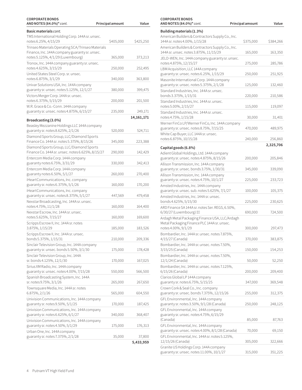| <b>CORPORATE BONDS</b><br>AND NOTES (84.0%)* cont.                                                                                       | <b>Principal amount</b> | Value        |
|------------------------------------------------------------------------------------------------------------------------------------------|-------------------------|--------------|
| Basic materials cont.                                                                                                                    |                         |              |
| TMS International Holding Corp. 144A sr. unsec.<br>notes 6.25%, 4/15/29                                                                  | \$405,000               | \$425,250    |
| Trinseo Materials Operating SCA/Trinseo Materials<br>Finance, Inc. 144A company guaranty sr. unsec.<br>notes 5.125%, 4/1/29 (Luxembourg) | 365,000                 | 373,213      |
| Tronox, Inc. 144A company guaranty sr. unsec.<br>notes 4.625%, 3/15/29                                                                   | 250,000                 | 252,495      |
| United States Steel Corp. sr. unsec.<br>notes 6.875%, 3/1/29                                                                             | 340,000                 | 363,800      |
| Univar Solutions USA, Inc. 144A company<br>guaranty sr. unsec. notes 5.125%, 12/1/27                                                     | 380,000                 | 399,475      |
| Victors Merger Corp. 144A sr. unsec.<br>notes 6.375%, 5/15/29                                                                            | 200,000                 | 201,500      |
| W.R. Grace & Co.-Conn. 144A company<br>guaranty sr. unsec. notes 4.875%, 6/15/27                                                         | 235,000                 | 249,171      |
| Broadcasting (3.0%)                                                                                                                      |                         | 14, 161, 171 |
| Beasley Mezzanine Holdings LLC 144A company<br>guaranty sr. notes 8.625%, 2/1/26                                                         | 520,000                 | 524,711      |
| Diamond Sports Group, LLC/Diamond Sports<br>Finance Co. 144A sr. notes 5.375%, 8/15/26                                                   | 345,000                 | 223,388      |
| Diamond Sports Group, LLC/Diamond Sports<br>Finance Co. 144A sr. unsec. notes 6.625%, 8/15/27                                            | 290,000                 | 142,429      |
| Entercom Media Corp. 144A company<br>guaranty notes 6.75%, 3/31/29                                                                       | 330,000                 | 342,413      |
| Entercom Media Corp. 144A company<br>guaranty notes 6.50%, 5/1/27                                                                        | 260,000                 | 270,400      |
| iHeartCommunications, Inc. company<br>guaranty sr. notes 6.375%, 5/1/26                                                                  | 160,000                 | 170,200      |
| iHeartCommunications, Inc. company<br>guaranty sr. unsec. notes 8.375%, 5/1/27                                                           | 447,569                 | 479,458      |
| Nexstar Broadcasting, Inc. 144A sr. unsec.<br>notes 4.75%, 11/1/28                                                                       | 160,000                 | 164,400      |
| Nexstar Escrow, Inc. 144A sr. unsec.<br>notes 5.625%, 7/15/27                                                                            | 160,000                 | 169,600      |
| Scripps Escrow II, Inc. 144A sr. notes<br>3.875%, 1/15/29                                                                                | 185,000                 | 183,526      |
| Scripps Escrow II, Inc. 144A sr. unsec.<br>bonds 5.375%, 1/15/31<br>Sinclair Television Group, Inc. 144A company                         | 210,000                 | 209,336      |
| guaranty sr. unsec. bonds 5.50%, 3/1/30<br>Sinclair Television Group, Inc. 144A                                                          | 175,000                 | 178,428      |
| sr. bonds 4.125%, 12/1/30<br>Sirius XM Radio, Inc. 144A company                                                                          | 170,000                 | 167,025      |
| guaranty sr. unsec. notes 4.00%, 7/15/28<br>Spanish Broadcasting System, Inc. 144A                                                       | 550,000                 | 566,500      |
| sr. notes 9.75%, 3/1/26<br>Townsquare Media, Inc. 144A sr. notes                                                                         | 265,000                 | 267,650      |
| 6.875%, 2/1/26<br>Univision Communications, Inc. 144A company                                                                            | 565,000                 | 604,550      |
| guaranty sr. notes 9.50%, 5/1/25                                                                                                         | 170,000                 | 187,425      |
| Univision Communications, Inc. 144A company<br>guaranty sr. notes 6.625%, 6/1/27                                                         | 340,000                 | 368,407      |
| Univision Communications, Inc. 144A company<br>guaranty sr. notes 4.50%, 5/1/29                                                          | 175,000                 | 176,313      |
| Urban One, Inc. 144A company<br>guaranty sr. notes 7.375%, 2/1/28                                                                        | 35,000                  | 37,800       |
|                                                                                                                                          |                         | 5,433,959    |

| <b>CORPORATE BONDS</b><br>AND NOTES (84.0%)* cont.                                                                   | <b>Principal amount</b> | Value     |
|----------------------------------------------------------------------------------------------------------------------|-------------------------|-----------|
| Building materials (1.3%)                                                                                            |                         |           |
| American Builders & Contractors Supply Co., Inc.                                                                     |                         |           |
| 144A sr. notes 4.00%, 1/15/28<br>American Builders & Contractors Supply Co., Inc.                                    | \$375,000               | \$384,266 |
| 144A sr. unsec. notes 3.875%, 11/15/29                                                                               | 165,000                 | 163,350   |
| JELD-WEN, Inc. 144A company guaranty sr. unsec.<br>notes 4.875%, 12/15/27                                            | 275,000                 | 285,786   |
| LBM Acquisition, LLC 144A company<br>guaranty sr. unsec. notes 6.25%, 1/15/29                                        | 250,000                 | 251,925   |
| Masonite International Corp. 144A company                                                                            |                         |           |
| guaranty sr. unsec. notes 5.375%, 2/1/28<br>Standard Industries, Inc. 144A sr. unsec.                                | 125,000                 | 132,460   |
| bonds 3.375%, 1/15/31<br>Standard Industries, Inc. 144A sr. unsec.                                                   | 220,000                 | 210,586   |
| notes 5.00%, 2/15/27                                                                                                 | 115,000                 | 119,097   |
| Standard Industries, Inc. 144A sr. unsec.<br>notes 4.75%, 1/15/28                                                    | 30,000                  | 31,401    |
| Werner FinCo LP/Werner FinCo, Inc. 144A company<br>guaranty sr. unsec. notes 8.75%, 7/15/25                          | 470,000                 | 489,975   |
| White Cap Buyer, LLC 144A sr. unsec.<br>notes 6.875%, 10/15/28                                                       | 240,000                 | 256,860   |
|                                                                                                                      |                         | 2,325,706 |
| Capital goods (6.8%)<br>Adient Global Holdings, Ltd. 144A company                                                    |                         |           |
| guaranty sr. unsec. notes 4.875%, 8/15/26                                                                            | 200,000                 | 205,846   |
| Allison Transmission, Inc. 144A company<br>guaranty sr. unsec. bonds 3.75%, 1/30/31                                  | 345,000                 | 339,090   |
| Allison Transmission, Inc. 144A company<br>guaranty sr. unsec. notes 4.75%, 10/1/27                                  | 225,000                 | 233,723   |
| Amsted Industries, Inc. 144A company                                                                                 |                         |           |
| guaranty sr. unsec. sub. notes 5.625%, 7/1/27                                                                        | 100,000                 | 105,375   |
| Amsted Industries, Inc. 144A sr. unsec.<br>bonds 4.625%, 5/15/30                                                     | 225,000                 | 230,625   |
| ARD Finance SA 144A sr. notes Ser. REGS, 6.50%,<br>6/30/27 (Luxembourg) ‡‡                                           | 690,000                 | 724,500   |
| Ardagh Metal Packaging Finance USA, LLC/Ardagh<br>Metal Packaging Finance PLC 144A sr. unsec.<br>notes 4.00%, 9/1/29 | 300,000                 | 297,473   |
| Bombardier, Inc. 144A sr. unsec. notes 7.875%,<br>4/15/27 (Canada)                                                   | 370,000                 | 383,875   |
| Bombardier, Inc. 144A sr. unsec. notes 7.50%,<br>3/15/25 (Canada)                                                    | 150,000                 | 154,253   |
| Bombardier, Inc. 144Asr. unsec. notes 7.50%,                                                                         |                         |           |
| 12/1/24 (Canada)<br>Bombardier, Inc. 144A sr. unsec. notes 7.125%,                                                   | 50,000                  | 52,250    |
| 6/15/26 (Canada)                                                                                                     | 200,000                 | 209,400   |
| Clarios Global LP 144A company<br>guaranty sr. notes 6.75%, 5/15/25                                                  | 347,000                 | 369,548   |
| Crown Cork & Seal Co., Inc. company<br>guaranty sr. unsec. bonds 7.375%, 12/15/26                                    | 255,000                 | 312,375   |
| GFL Environmental, Inc. 144A company<br>guaranty sr. notes 3.50%, 9/1/28 (Canada)                                    | 250,000                 | 248,125   |
| GFL Environmental, Inc. 144A company                                                                                 |                         |           |
| guaranty sr. unsec. notes 4.75%, 6/15/29<br>(Canada)                                                                 | 85,000                  | 87,763    |
| GFL Environmental, Inc. 144A company<br>guaranty sr. unsec. notes 4.00%, 8/1/28 (Canada)                             | 70,000                  | 69,150    |
| GFL Environmental, Inc. 144A sr. notes 5.125%,<br>12/15/26 (Canada)                                                  | 305,000                 | 322,666   |
| Granite US Holdings Corp. 144A company<br>guaranty sr. unsec. notes 11.00%, 10/1/27                                  | 315,000                 | 351,225   |
|                                                                                                                      |                         |           |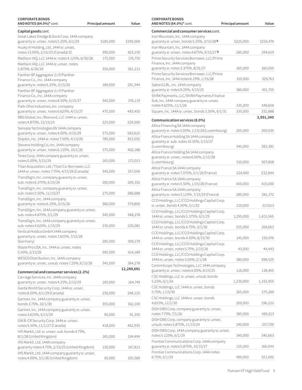| <b>CORPORATE BONDS</b><br>AND NOTES (84.0%)* cont. | Principal amount | Value      |
|----------------------------------------------------|------------------|------------|
| Capital goods cont.                                |                  |            |
| Great Lakes Dredge & Dock Corp. 144A company       |                  |            |
| guaranty sr. unsec. notes 5.25%, 6/1/29            | \$185,000        | \$190,569  |
| Husky III Holding, Ltd. 144Asr. unsec.             |                  |            |
| notes 13.00%, 2/15/25 (Canada) ‡‡                  | 390,000          | 423,150    |
| Madison IAQ, LLC 144A sr. notes 4.125%, 6/30/28    | 175,000          | 176,750    |
| Madison IAQ, LLC 144A sr. unsec. notes             |                  |            |
| 5.875%, 6/30/29                                    | 355,000          | 361,213    |
| Panther BF Aggregator 2 LP/Panther                 |                  |            |
| Finance Co., Inc. 144A company                     |                  |            |
| guaranty sr. notes 6.25%, 5/15/26                  | 189,000          | 201,344    |
| Panther BF Aggregator 2 LP/Panther                 |                  |            |
| Finance Co., Inc. 144A company                     |                  |            |
| guaranty sr. unsec. notes 8.50%, 5/15/27           | 345,000          | 376,119    |
| Park-Ohio Industries, Inc. company                 |                  |            |
| guaranty sr. unsec. notes 6.625%, 4/15/27          | 475,000          | 483,455    |
| RBS Global, Inc./Rexnord, LLC 144A sr. unsec.      |                  |            |
| notes 4.875%, 12/15/25                             | 225,000          | 229,500    |
| Sensata Technologies BV 144A company               |                  |            |
| guaranty sr. unsec. notes 4.00%, 4/15/29           | 575,000          | 583,625    |
| Staples, Inc. 144A sr. notes 7.50%, 4/15/26        | 785,000          | 813,052    |
| Stevens Holding Co, Inc. 144A company              |                  |            |
| guaranty sr. unsec. notes 6.125%, 10/1/26          | 375,000          | 402,188    |
| Terex Corp. 144A company guaranty sr. unsec.       |                  |            |
| notes 5.00%, 5/15/29                               | 165,000          | 172,013    |
| Titan Acquisition, Ltd./Titan Co-Borrower, LLC     |                  |            |
| 144A sr. unsec. notes 7.75%, 4/15/26 (Canada)      | 345,000          | 357,506    |
| TransDigm, Inc. company guaranty sr. unsec.        |                  |            |
| sub. notes 6.375%, 6/15/26                         | 260,000          | 269,352    |
| TransDigm, Inc. company guaranty sr. unsec.        |                  |            |
| sub. notes 5.50%, 11/15/27                         | 275,000          | 286,688    |
| TransDigm, Inc. 144A company                       |                  |            |
| guaranty sr. notes 6.25%, 3/15/26                  | 360,000          | 379,800    |
| TransDigm, Inc. 144A company guaranty sr. unsec.   |                  |            |
| sub. notes 4.875%, 5/1/29                          | 345,000          | 348,278    |
| TransDigm, Inc. 144A company guaranty sr. unsec.   |                  |            |
| sub. notes 4.625%, 1/15/29                         | 230,000          | 230,081    |
| Vertical Holdco GmbH 144A company                  |                  |            |
| guaranty sr. unsec. notes 7.625%, 7/15/28          |                  |            |
| (Germany)                                          | 285,000          | 309,279    |
| Waste Pro USA, Inc. 144A sr. unsec. notes          |                  |            |
| 5.50%, 2/15/26                                     | 595,000          | 614,189    |
| WESCO Distribution, Inc. 144A company              |                  |            |
| guaranty sr. unsec. unsub. notes 7.25%, 6/15/28    | 345,000          | 384,278    |
| Commercial and consumer services (2.2%)            |                  | 12,289,691 |
| Carriage Services, Inc. 144A company               |                  |            |
| guaranty sr. unsec. notes 4.25%, 5/15/29           | 165,000          | 164,749    |
| Garda World Security Corp. 144Asr. unsec.          |                  |            |
| notes 6.00%, 6/1/29 (Canada)                       | 250,000          | 248,125    |
| Gartner, Inc. 144A company guaranty sr. unsec.     |                  |            |
| bonds 3.75%, 10/1/30                               | 355,000          | 362,100    |
| Gartner, Inc. 144A company guaranty sr. unsec.     |                  |            |
| notes 3.625%, 6/15/29                              | 90,000           | 91,350     |
| GW B-CR Security Corp. 144A sr. unsec.             |                  |            |
| notes 9.50%, 11/1/27 (Canada)                      | 418,000          | 462,935    |
| IHS Markit, Ltd. sr. unsec. sub. bonds 4.75%,      |                  |            |
| 8/1/28 (United Kingdom)                            | 165,000          | 194,494    |
| IHS Markit, Ltd. 144A company                      |                  |            |
| guaranty notes 4.75%, 2/15/25 (United Kingdom)     | 150,000          | 167,813    |
| IHS Markit, Ltd. 144A company guaranty sr. unsec.  |                  |            |
| notes 4.00%, 3/1/26 (United Kingdom)               | 95,000           | 105,569    |

| <b>CORPORATE BONDS</b><br>AND NOTES (84.0%)* cont.                                | <b>Principal amount</b> | Value     |
|-----------------------------------------------------------------------------------|-------------------------|-----------|
| Commercial and consumer services cont.                                            |                         |           |
| Iron Mountain, Inc. 144A company                                                  |                         |           |
| guaranty sr. unsec. bonds 5.25%, 3/15/28 R                                        | \$225,000               | \$235,474 |
| Iron Mountain, Inc. 144A company                                                  |                         |           |
| guaranty sr. unsec. notes 4.875%, 9/15/27 R                                       | 285,000                 | 294,619   |
| Prime Security Services Borrower, LLC/Prime                                       |                         |           |
| Finance, Inc. 144A company                                                        |                         |           |
| guaranty sr. notes 3.375%, 8/31/27                                                | 165,000                 | 160,050   |
| Prime Security Services Borrower, LLC/Prime                                       |                         |           |
| Finance, Inc. 144A notes 6.25%, 1/15/28                                           | 310,000                 | 329,763   |
|                                                                                   |                         |           |
| Sabre GLBL, Inc. 144A company                                                     |                         |           |
| guaranty sr. notes 9.25%, 4/15/25                                                 | 380,000                 | 451,755   |
| Shift4 Payments, LLC/Shift4 Payments Finance                                      |                         |           |
| Sub, Inc. 144A company guaranty sr. unsec.<br>notes 4.625%, 11/1/26               |                         |           |
|                                                                                   | 335,000                 | 349,656   |
| Square, Inc. 144A sr. unsec. bonds 3.50%, 6/1/31                                  | 330,000                 | 332,888   |
| Communication services (8.0%)                                                     |                         | 3,951,340 |
| Altice Financing SA 144A company                                                  |                         |           |
| guaranty sr. notes 5.00%, 1/15/28 (Luxembourg)                                    | 205,000                 | 200,935   |
| Altice France Holding SA 144A company                                             |                         |           |
| guaranty sr. sub. notes 10.50%, 5/15/27                                           |                         |           |
| (Luxembourg)                                                                      | 345,000                 | 383,381   |
|                                                                                   |                         |           |
| Altice France Holding SA 144A company<br>guaranty sr. unsec. notes 6.00%, 2/15/28 |                         |           |
| (Luxembourg)                                                                      | 510,000                 | 507,858   |
|                                                                                   |                         |           |
| Altice France SA 144A company<br>guaranty sr. notes 7.375%, 5/1/26 (France)       |                         | 232,944   |
|                                                                                   | 224,000                 |           |
| Altice France SA 144A company                                                     |                         |           |
| guaranty sr. notes 5.50%, 1/15/28 (France)                                        | 400,000                 | 415,000   |
| Altice France SA 144A company                                                     |                         |           |
| guaranty sr. notes 5.125%, 7/15/29 (France)                                       | 280,000                 | 281,372   |
| CCO Holdings, LLC/CCO Holdings Capital Corp.                                      |                         |           |
| sr. unsec. bonds 4.50%, 5/1/32                                                    | 210,000                 | 217,613   |
| CCO Holdings, LLC/CCO Holdings Capital Corp.                                      |                         |           |
| 144A sr. unsec. bonds 5.375%, 6/1/29                                              | 1,295,000               | 1,415,565 |
| CCO Holdings, LLC/CCO Holdings Capital Corp.                                      |                         |           |
| 144A sr. unsec. bonds 4.75%, 3/1/30                                               | 255,000                 | 269,663   |
| CCO Holdings, LLC/CCO Holdings Capital Corp.                                      |                         |           |
| 144A sr. unsec. bonds 4.50%, 8/15/30                                              | 145,000                 | 150,976   |
| CCO Holdings, LLC/CCO Holdings Capital Corp.                                      |                         |           |
| 144A sr. unsec. notes 5.75%, 2/15/26                                              | 43,000                  | 44,443    |
| CCO Holdings, LLC/CCO Holdings Capital Corp.                                      |                         |           |
| 144A sr. unsec. notes 5.00%, 2/1/28                                               | 380,000                 | 398,525   |
| CommScope Technologies, LLC 144A company                                          |                         |           |
| guaranty sr. unsec. notes 6.00%, 6/15/25                                          | 116,000                 | 118,465   |
| CSC Holdings, LLC sr. unsec. unsub. bonds                                         |                         |           |
| 5.25%, 6/1/24                                                                     | 1,230,000               | 1,332,955 |
| CSC Holdings, LLC 144A sr. unsec. bonds                                           |                         |           |
| 5.75%, 1/15/30                                                                    | 265,000                 | 275,269   |
| CSC Holdings, LLC 144A sr. unsec. bonds                                           |                         |           |
| 4.625%, 12/1/30                                                                   | 200,000                 | 196,222   |
| DISH DBS Corp. company guaranty sr. unsec.                                        |                         |           |
| notes 7.75%, 7/1/26                                                               | 385,000                 | 436,013   |
| DISH DBS Corp. company guaranty sr. unsec.                                        |                         |           |
| unsub. notes 5.875%, 11/15/24                                                     | 240,000                 | 257,700   |
|                                                                                   |                         |           |
| DISH DBS Corp. 144A company guaranty sr. unsec.                                   |                         |           |
| notes 5.125%, 6/1/29                                                              | 345,000                 | 340,663   |
| Frontier Communications Corp. 144A company                                        |                         |           |
| guaranty sr. notes 5.875%, 10/15/27                                               | 155,000                 | 166,044   |
| Frontier Communications Corp. 144A notes                                          |                         |           |
| 6.75%, 5/1/29                                                                     | 490,000                 | 521,002   |
|                                                                                   |                         |           |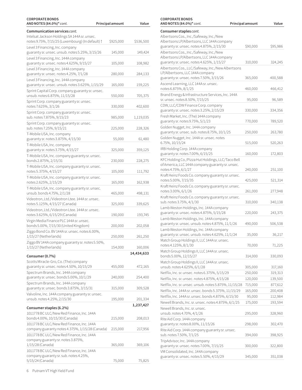| <b>CORPORATE BONDS</b><br>AND NOTES (84.0%)* cont. | <b>Principal amount</b> | Value      |
|----------------------------------------------------|-------------------------|------------|
| Communication services cont.                       |                         |            |
| Intelsat Jackson Holdings SA 144A sr. unsec.       |                         |            |
| notes 9.75%, 7/15/25 (Luxembourg) (In default) †   | \$925,000               | \$536,500  |
| Level 3 Financing, Inc. company                    |                         |            |
| guaranty sr. unsec. unsub. notes 5.25%, 3/15/26    | 145,000                 | 149,424    |
| Level 3 Financing, Inc. 144A company               |                         |            |
| guaranty sr. unsec. notes 4.625%, 9/15/27          | 105,000                 | 108,982    |
| Level 3 Financing, Inc. 144A company               |                         |            |
| guaranty sr. unsec. notes 4.25%, 7/1/28            | 280,000                 | 284,133    |
| Level 3 Financing, Inc. 144A company               |                         |            |
| guaranty sr. unsec. unsub. notes 3.625%, 1/15/29   | 165,000                 | 159,225    |
| Sprint Capital Corp. company guaranty sr. unsec.   |                         |            |
| unsub. notes 6.875%, 11/15/28                      | 550,000                 | 705,375    |
| Sprint Corp. company guaranty sr. unsec.           |                         |            |
| notes 7.625%, 3/1/26                               | 330,000                 | 402,600    |
| Sprint Corp. company guaranty sr. unsec.           |                         |            |
| sub. notes 7.875%, 9/15/23                         | 985,000                 | 1,119,035  |
| Sprint Corp. company guaranty sr. unsec.           |                         |            |
| sub. notes 7.25%, 9/15/21                          | 225,000                 | 228,326    |
| T-Mobile USA, Inc. company                         |                         |            |
| guaranty sr. notes 3.875%, 4/15/30                 | 55,000                  | 61,480     |
| T-Mobile USA, Inc. company                         |                         |            |
| guaranty sr. notes 3.75%, 4/15/27                  | 325,000                 | 359,125    |
| T-Mobile USA, Inc. company guaranty sr. unsec.     |                         |            |
| bonds 2.875%, 2/15/31                              | 230,000                 | 228,275    |
| T-Mobile USA, Inc. company guaranty sr. unsec.     |                         |            |
| notes 5.375%, 4/15/27                              | 105,000                 | 111,792    |
| T-Mobile USA, Inc. company guaranty sr. unsec.     |                         |            |
| notes 2.625%, 2/15/29                              | 165,000                 | 162,938    |
| T-Mobile USA, Inc. company guaranty sr. unsec.     |                         |            |
| unsub. bonds 4.75%, 2/1/28                         | 465,000                 | 498,131    |
| Videotron, Ltd./Videotron Ltee. 144A sr. unsec.    |                         |            |
| notes 5.125%, 4/15/27 (Canada)                     | 325,000                 | 339,625    |
| Videotron, Ltd./Videotron Ltee. 144A sr. unsec.    |                         |            |
| notes 3.625%, 6/15/29 (Canada)                     | 190,000                 | 193,745    |
| Virgin Media Finance PLC 144A sr. unsec.           |                         |            |
| bonds 5.00%, 7/15/30 (United Kingdom)              | 200,000                 | 202,058    |
| Ziggo Bond Co. BV 144A sr. unsec. notes 6.00%,     |                         |            |
| 1/15/27 (Netherlands)                              | 250,000                 | 261,250    |
| Ziggo BV 144A company guaranty sr. notes 5.50%,    |                         |            |
| 1/15/27 (Netherlands)                              | 154,000                 | 160,006    |
| Consumer (0.7%)                                    |                         | 14,434,633 |
| Scotts Miracle-Gro, Co. (The) company              |                         |            |
| guaranty sr. unsec. notes 4.50%, 10/15/29          | 455,000                 | 472,165    |
| Spectrum Brands, Inc. 144A company                 |                         |            |
| guaranty sr. unsec. bonds 5.00%, 10/1/29           | 240,000                 | 254,400    |
| Spectrum Brands, Inc. 144A company                 |                         |            |
| guaranty sr. unsec. bonds 3.875%, 3/15/31          | 315,000                 | 309,528    |
| Valvoline, Inc. 144A company guaranty sr. unsec.   |                         |            |
| unsub. notes 4.25%, 2/15/30                        | 195,000                 | 201,334    |
|                                                    |                         | 1,237,427  |
| Consumer staples (6.2%)                            |                         |            |
| 1011778 BC ULC/New Red Finance, Inc. 144A          |                         |            |
| bonds 4.00%, 10/15/30 (Canada)                     | 215,000                 | 208,013    |
| 1011778 BC ULC/New Red Finance, Inc. 144A          |                         |            |
| company guaranty notes 4.375%, 1/15/28 (Canada)    | 215,000                 | 217,956    |
| 1011778 BC ULC/New Red Finance, Inc. 144A          |                         |            |
| company guaranty sr. notes 3.875%,                 |                         |            |
| 1/15/28 (Canada)                                   | 365,000                 | 369,106    |
| 1011778 BC ULC/New Red Finance, Inc. 144A          |                         |            |
| company guaranty sr. sub. notes 4.25%,             |                         |            |
| 5/15/24 (Canada)                                   | 75,000                  | 75,825     |

| <b>CORPORATE BONDS</b><br>AND NOTES (84.0%)* cont.                                          | <b>Principal amount</b> | Value    |
|---------------------------------------------------------------------------------------------|-------------------------|----------|
| Consumer staples cont.                                                                      |                         |          |
| Albertsons Cos., Inc./Safeway, Inc./New                                                     |                         |          |
| Albertsons LP/Albertsons, LLC 144A company                                                  |                         |          |
| guaranty sr. unsec. notes 4.875%, 2/15/30                                                   | \$90,000                | \$95,986 |
| Albertsons Cos., Inc./Safeway, Inc./New                                                     |                         |          |
| Albertsons LP/Albertsons, LLC 144A company                                                  |                         |          |
| guaranty sr. unsec. notes 4.625%, 1/15/27                                                   | 310,000                 | 324,245  |
| Albertsons Cos., LLC/Safeway, Inc./New Albertsons<br>LP/Albertsons, LLC 144A company        |                         |          |
| guaranty sr. unsec. notes 7.50%, 3/15/26                                                    | 365,000                 | 400,588  |
| Ascend Learning, LLC 144Asr. unsec.                                                         |                         |          |
| notes 6.875%, 8/1/25                                                                        | 460,000                 | 466,412  |
| Brand Energy & Infrastructure Services, Inc. 144A                                           |                         |          |
| sr. unsec. notes 8.50%, 7/15/25                                                             | 95,000                  | 96,589   |
| CDW, LLC/CDW Finance Corp. company                                                          |                         |          |
| guaranty sr. unsec. notes 3.25%, 2/15/29                                                    | 330,000                 | 334,356  |
| Fresh Market, Inc. (The) 144A company                                                       |                         |          |
| guaranty sr. notes 9.75%, 5/1/23                                                            | 770,000                 | 789,520  |
| Golden Nugget, Inc. 144A company                                                            |                         |          |
| guaranty sr. unsec. sub. notes 8.75%, 10/1/25                                               | 250,000                 | 263,780  |
| Golden Nugget, Inc. 144A sr. unsec. notes                                                   |                         |          |
| 6.75%, 10/15/24                                                                             | 515,000                 | 520,263  |
| IRB Holding Corp. 144A company<br>guaranty sr. notes 7.00%, 6/15/25                         | 160,000                 | 172,803  |
| KFC Holding Co./Pizza Hut Holdings, LLC/Taco Bell                                           |                         |          |
| of America, LLC 144A company guaranty sr. unsec.                                            |                         |          |
| notes 4.75%, 6/1/27                                                                         | 240,000                 | 251,100  |
| Kraft Heinz Foods Co. company guaranty sr. unsec.                                           |                         |          |
| notes 5.00%, 7/15/35                                                                        | 425,000                 | 521,314  |
| Kraft Heinz Foods Co. company guaranty sr. unsec.                                           |                         |          |
| notes 3.00%, 6/1/26                                                                         | 261,000                 | 277,948  |
| Kraft Heinz Foods Co. company guaranty sr. unsec.                                           |                         |          |
| sub. notes 3.75%, 4/1/30                                                                    | 310,000                 | 340,138  |
| Lamb Weston Holdings, Inc. 144A company                                                     |                         |          |
| guaranty sr. unsec. notes 4.875%, 5/15/28                                                   | 220,000                 | 243,375  |
| Lamb Weston Holdings, Inc. 144A company                                                     |                         |          |
| guaranty sr. unsec. unsub. notes 4.875%, 11/1/26                                            | 490,000                 | 506,538  |
| Lamb Weston Holdings, Inc. 144A company<br>guaranty sr. unsec. unsub. notes 4.625%, 11/1/24 | 35,000                  | 36,217   |
| Match Group Holdings II, LLC 144A sr. unsec.                                                |                         |          |
| notes 4.125%, 8/1/30                                                                        | 70,000                  | 71,225   |
| Match Group Holdings II, LLC 144A sr. unsec.                                                |                         |          |
| bonds 5.00%, 12/15/27                                                                       | 314,000                 | 330,093  |
| Match Group Holdings II, LLC 144A sr. unsec.                                                |                         |          |
| unsub. notes 4.625%, 6/1/28                                                                 | 305,000                 | 317,160  |
| Netflix, Inc. sr. unsec. notes 6.375%, 5/15/29                                              | 250,000                 | 319,313  |
| Netflix, Inc. sr. unsec. notes 4.875%, 4/15/28                                              | 120,000                 | 139,500  |
| Netflix, Inc. sr. unsec. unsub. notes 5.875%, 11/15/28                                      | 715,000                 | 877,612  |
| Netflix, Inc. 144A sr. unsec. bonds 5.375%, 11/15/29                                        | 165,000                 | 200,408  |
| Netflix, Inc. 144A sr. unsec. bonds 4.875%, 6/15/30                                         | 95,000                  | 112,984  |
| Newell Brands, Inc. sr. unsec. notes 4.875%, 6/1/25                                         | 175,000                 | 193,594  |
| Newell Brands, Inc. sr. unsec.                                                              |                         |          |
| unsub. notes 4.70%, 4/1/26                                                                  | 295,000                 | 328,960  |
| Rite Aid Corp. 144A company                                                                 |                         |          |
| guaranty sr. notes 8.00%, 11/15/26                                                          | 298,000                 | 302,470  |
| Rite Aid Corp. 144A company guaranty sr. unsec.                                             |                         |          |
| sub. notes 7.50%, 7/1/25                                                                    | 394,000                 | 398,925  |
| TripAdvisor, Inc. 144A company                                                              |                         |          |
| guaranty sr. unsec. notes 7.00%, 7/15/25                                                    | 300,000                 | 322,800  |
| VM Consolidated, Inc. 144A company<br>guaranty sr. unsec. notes 5.50%, 4/15/29              | 345,000                 | 351,038  |
|                                                                                             |                         |          |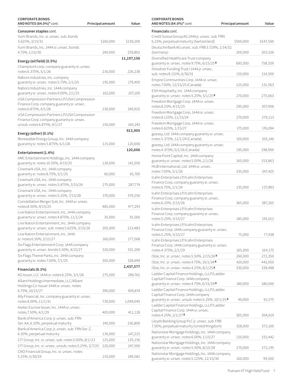| <b>CORPORATE BONDS</b><br>AND NOTES (84.0%)* cont.                                        | <b>Principal amount</b> | Value      |
|-------------------------------------------------------------------------------------------|-------------------------|------------|
| Consumer staples cont.                                                                    |                         |            |
| Yum! Brands, Inc. sr. unsec. sub. bonds                                                   |                         |            |
| 3.625%, 3/15/31<br>Yum! Brands, Inc. 144A sr. unsec. bonds                                | \$160,000               | \$159,200  |
| 4.75%, 1/15/30                                                                            | 240,000                 | 259,802    |
|                                                                                           |                         | 11,197,156 |
| Energy (oil field) (0.5%)<br>ChampionX corp. company guaranty sr. unsec.                  |                         |            |
| notes 6.375%, 5/1/26                                                                      | 216,000                 | 226,238    |
| Nabors Industries, Inc. company                                                           |                         |            |
| guaranty sr. unsec. notes 5.75%, 2/1/25                                                   | 195,000                 | 179,400    |
| Nabors Industries, Inc. 144A company<br>guaranty sr. unsec. notes 9.00%, 2/1/25           | 102,000                 | 107,100    |
| USA Compression Partners LP/USA Compression                                               |                         |            |
| Finance Corp. company guaranty sr. unsec.                                                 |                         |            |
| notes 6.875%, 4/1/26<br>USA Compression Partners LP/USA Compression                       | 230,000                 | 240,925    |
| Finance Corp. company guaranty sr. unsec.                                                 |                         |            |
| unsub. notes 6.875%, 9/1/27                                                               | 150,000                 | 160,242    |
| Energy (other) (0.1%)                                                                     |                         | 913,905    |
| Renewable Energy Group, Inc. 144A company                                                 |                         |            |
| guaranty sr. notes 5.875%, 6/1/28                                                         | 115,000                 | 120,606    |
| Entertainment (1.4%)                                                                      |                         | 120,606    |
| AMC Entertainment Holdings, Inc. 144A company                                             |                         |            |
| guaranty sr. notes 10.50%, 4/15/25                                                        | 130,000                 | 141,050    |
| Cinemark USA, Inc. 144A company<br>guaranty sr. notes 8.75%, 5/1/25                       | 60,000                  | 65,700     |
| Cinemark USA, Inc. 144A company                                                           |                         |            |
| guaranty sr. unsec. notes 5.875%, 3/15/26                                                 | 275,000                 | 287,774    |
| Cinemark USA, Inc. 144A company                                                           |                         |            |
| guaranty sr. unsec. notes 5.25%, 7/15/28                                                  | 370,000                 | 379,250    |
| Constellation Merger Sub, Inc. 144A sr. unsec.<br>notes 8.50%, 9/15/25                    | 485,000                 | 477,293    |
| Live Nation Entertainment, Inc. 144A company                                              |                         |            |
| guaranty sr. unsec. notes 4.875%, 11/1/24                                                 | 35,000                  | 35,560     |
| Live Nation Entertainment, Inc. 144A company                                              |                         |            |
| guaranty sr. unsec. sub. notes 5.625%, 3/15/26<br>Live Nation Entertainment, Inc. 144A    | 205,000                 | 213,483    |
| sr. notes 6.50%, 5/15/27                                                                  | 160,000                 | 177,568    |
| Six Flags Entertainment Corp. 144A company                                                |                         |            |
| guaranty sr. unsec. bonds 5.50%, 4/15/27                                                  | 320,000                 | 331,200    |
| Six Flags Theme Parks, Inc. 144A company<br>guaranty sr. notes 7.00%, 7/1/25              | 305,000                 | 328,699    |
|                                                                                           |                         | 2,437,577  |
| Financials (8.1%)                                                                         |                         |            |
| AG Issuer, LLC 144A sr. notes 6.25%, 3/1/28<br>Alliant Holdings Intermediate, LLC/Alliant | 275,000                 | 289,762    |
| Holdings Co-Issuer 144A sr. unsec. notes                                                  |                         |            |
| 6.75%, 10/15/27                                                                           | 390,000                 | 409,874    |
| Ally Financial, Inc. company guaranty sr. unsec.                                          |                         |            |
| notes 8.00%, 11/1/31<br>Aretec Escrow Issuer, Inc. 144A sr. unsec.                        | 730,000                 | 1,049,045  |
| notes 7.50%, 4/1/29                                                                       | 400,000                 | 411,128    |
| Bank of America Corp. jr. unsec. sub. FRN                                                 |                         |            |
| Ser. AA, 6.10%, perpetual maturity                                                        | 140,000                 | 156,800    |
| Bank of America Corp. jr. unsec. sub. FRN Ser. Z,<br>6.50%, perpetual maturity            | 130,000                 | 147,225    |
| CIT Group, Inc. sr. unsec. sub. notes 5.00%, 8/1/23                                       | 125,000                 | 135,156    |
| CIT Group, Inc. sr. unsec. unsub. notes 5.25%, 3/7/25                                     | 220,000                 | 247,500    |
| CNO Financial Group, Inc. sr. unsec. notes                                                |                         |            |
| 5.25%, 5/30/29                                                                            | 210,000                 | 249,581    |

| <b>CORPORATE BONDS</b><br>AND NOTES (84.0%)* cont.                                            | <b>Principal amount</b> | Value              |
|-----------------------------------------------------------------------------------------------|-------------------------|--------------------|
| Financials cont.                                                                              |                         |                    |
| Credit Suisse Group AG 144A jr. unsec. sub. FRN<br>6.25%, perpetual maturity (Switzerland)    | \$500,000               | \$547,500          |
| Deutsche Bank AG unsec. sub. FRB 3.729%, 1/14/32                                              |                         |                    |
| (Germany)                                                                                     | 200,000                 | 203,526            |
| Diversified Healthcare Trust company<br>guaranty sr. unsec. notes 9.75%, 6/15/25R             | 685,000                 | 758,559            |
| Dresdner Funding Trust I 144A jr. unsec.<br>sub. notes 8.151%, 6/30/31                        | 150,000                 | 214,500            |
| Empire Communities Corp. 144A sr. unsec.<br>notes 7.00%, 12/15/25 (Canada)                    | 125,000                 | 131,563            |
| ESH Hospitality, Inc. 144A company<br>guaranty sr. unsec. notes 5.25%, 5/1/25R                | 270,000                 | 275,063            |
| Freedom Mortgage Corp. 144A sr. unsec.                                                        |                         |                    |
| notes 8.25%, 4/15/25                                                                          | 295,000                 | 307,906            |
| Freedom Mortgage Corp. 144A sr. unsec.<br>notes 8.125%, 11/15/24                              | 270,000                 | 279,113            |
| Freedom Mortgage Corp. 144A sr. unsec.<br>notes 6.625%, 1/15/27                               | 175,000                 | 176,094            |
| goeasy, Ltd. 144A company guaranty sr. unsec.<br>notes 5.375%, 12/1/24 (Canada)               | 100,000                 | 103,146            |
| goeasy, Ltd. 144A company guaranty sr. unsec.                                                 |                         |                    |
| notes 4.375%, 5/1/26 (Canada)                                                                 | 195,000                 | 198,900            |
| Home Point Capital, Inc. 144A company<br>guaranty sr. unsec. notes 5.00%, 2/1/26              | 165,000                 | 153,863            |
| HUB International, Ltd. 144A sr. unsec.<br>notes 7.00%, 5/1/26                                | 335,000                 | 347,425            |
| Icahn Enterprises LP/Icahn Enterprises                                                        |                         |                    |
| Finance Corp. company guaranty sr. unsec.<br>notes 6.75%, 2/1/24                              | 135,000                 | 137,893            |
| Icahn Enterprises LP/Icahn Enterprises                                                        |                         |                    |
| Finance Corp. company guaranty sr. unsec.<br>notes 6.25%, 5/15/26                             | 365,000                 | 387,265            |
| Icahn Enterprises LP/Icahn Enterprises<br>Finance Corp. company guaranty sr. unsec.           |                         |                    |
| notes 5.25%, 5/15/27                                                                          | 185,000                 | 191,012            |
| Icahn Enterprises LP/Icahn Enterprises                                                        |                         |                    |
| Finance Corp. 144A company guaranty sr. unsec.<br>notes 5.25%, 5/15/27                        | 75,000                  | 77,438             |
| Icahn Enterprises LP/Icahn Enterprises                                                        |                         |                    |
| Finance Corp. 144A company guaranty sr. unsec.                                                |                         |                    |
| notes 4.375%, 2/1/29                                                                          | 165,000                 | 164,175            |
| iStar, Inc. sr. unsec. notes 5.50%, 2/15/26R<br>iStar, Inc. sr. unsec. notes 4.75%, 10/1/24 R | 260,000<br>420,000      | 272,350<br>442,050 |
| iStar, Inc. sr. unsec. notes 4.25%, 8/1/25R                                                   | 330,000                 | 339,488            |
| Ladder Capital Finance Holdings, LLLP/Ladder                                                  |                         |                    |
| Capital Finance Corp. 144A company<br>guaranty sr. unsec. notes 4.75%, 6/15/29R               | 180,000                 | 180,000            |
| Ladder Capital Finance Holdings, LLLP/Ladder                                                  |                         |                    |
| Capital Finance Corp. 144A company<br>guaranty sr. unsec. unsub. notes 5.25%, 10/1/25R        | 90,000                  | 91,575             |
| Ladder Capital Finance Holdings, LLLP/Ladder                                                  |                         |                    |
| Capital Finance Corp. 144A sr. unsec.<br>notes 4.25%, 2/1/27 R                                | 305,000                 | 304,619            |
| Lloyds Banking Group PLC jr. unsec. sub. FRB<br>7.50%, perpetual maturity (United Kingdom)    | 328,000                 | 373,100            |
| Nationstar Mortgage Holdings, Inc. 144A company                                               |                         |                    |
| guaranty sr. unsec. notes 6.00%, 1/15/27<br>Nationstar Mortgage Holdings, Inc. 144A company   | 150,000                 | 155,442            |
| guaranty sr. unsec. notes 5.50%, 8/15/28                                                      | 270,000                 | 272,195            |
| Nationstar Mortgage Holdings, Inc. 144A company<br>guaranty sr. unsec. notes 5.125%, 12/15/30 | 100,000                 | 99,500             |
|                                                                                               |                         |                    |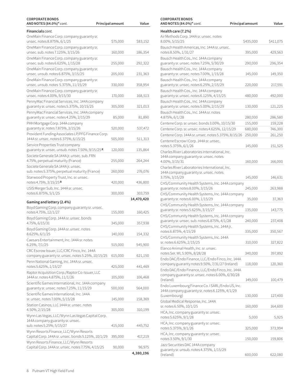| <b>CORPORATE BONDS</b><br>AND NOTES (84.0%)* cont.                                                 | <b>Principal amount</b> | Value      |
|----------------------------------------------------------------------------------------------------|-------------------------|------------|
| Financials cont.                                                                                   |                         |            |
| OneMain Finance Corp. company guaranty sr.<br>unsec. notes 8.875%, 6/1/25                          | \$75,000                | \$83,152   |
| OneMain Finance Corp. company guaranty sr.<br>unsec. sub. notes 7.125%, 3/15/26                    | 160,000                 | 186,354    |
| OneMain Finance Corp. company guaranty sr.<br>unsec. sub. notes 6.625%, 1/15/28                    | 255,000                 | 292,322    |
| OneMain Finance Corp. company guaranty sr.<br>unsec. unsub. notes 6.875%, 3/15/25                  | 205,000                 | 231,363    |
| OneMain Finance Corp. company guaranty sr.<br>unsec. unsub. notes 5.375%, 11/15/29                 | 330,000                 | 358,954    |
| OneMain Finance Corp. company guaranty sr.<br>unsec. notes 4.00%, 9/15/30                          | 170,000                 | 168,513    |
| PennyMac Financial Services, Inc. 144A company<br>guaranty sr. unsec. notes 5.375%, 10/15/25       | 305,000                 | 321,013    |
| PennyMac Financial Services, Inc. 144A company<br>guaranty sr. unsec. notes 4.25%, 2/15/29         | 85,000                  | 81,890     |
| PHH Mortgage Corp. 144A company<br>guaranty sr. notes 7.875%, 3/15/26                              | 520,000                 | 537,472    |
| Provident Funding Associates LP/PFG Finance Corp.<br>144A sr. unsec. notes 6.375%, 6/15/25         | 505,000                 | 511,313    |
| Service Properties Trust company<br>guaranty sr. unsec. unsub. notes 7.50%, 9/15/25R               | 120,000                 | 135,864    |
| Societe Generale SA 144A jr. unsec. sub. FRN<br>4.75%, perpetual maturity (France)                 | 255,000                 | 264,244    |
| Societe Generale SA 144A jr. unsec.<br>sub. notes 5.375%, perpetual maturity (France)              | 260,000                 | 276,076    |
| Starwood Property Trust, Inc. sr. unsec.<br>notes 4.75%, 3/15/25R                                  | 420,000                 | 436,800    |
| USIS Merger Sub, Inc. 144A sr. unsec.<br>notes 6.875%, 5/1/25                                      | 300,000                 | 303,759    |
|                                                                                                    |                         | 14,470,420 |
| Gaming and lottery (2.4%)<br>Boyd Gaming Corp. company guaranty sr. unsec.<br>notes 4.75%, 12/1/27 | 155,000                 | 160,425    |
| Boyd Gaming Corp. 144A sr. unsec. bonds<br>4.75%, 6/15/31                                          | 345,000                 | 357,938    |
| Boyd Gaming Corp. 144A sr. unsec. notes<br>8.625%, 6/1/25                                          | 140,000                 | 154,332    |
| Caesars Entertainment, Inc. 144A sr. notes<br>6.25%, 7/1/25                                        | 515,000                 | 545,900    |
| CRC Escrow Issuer, LLC/CRC Finco, Inc. 144A<br>company guaranty sr. unsec. notes 5.25%, 10/15/25   | 615,000                 | 621,150    |
| Penn National Gaming, Inc. 144A sr. unsec.<br>notes 5.625%, 1/15/27                                | 425,000                 | 441,469    |
| Raptor Acquisition Corp./Raptor Co-Issuer, LLC<br>144A sr. notes 4.875%, 11/1/26                   | 105,000                 | 106,468    |
| Scientific Games International, Inc. 144A company<br>guaranty sr. unsec. notes 7.25%, 11/15/29     | 500,000                 | 564,000    |
| Scientific Games International, Inc. 144A<br>sr. unsec. notes 7.00%, 5/15/28                       | 145,000                 | 158,369    |
| Station Casinos, LLC 144A sr. unsec. notes<br>4.50%, 2/15/28                                       | 305,000                 | 310,199    |
| Wynn Las Vegas, LLC/Wynn Las Vegas Capital Corp.<br>144A company guaranty sr. unsec.               |                         |            |
| sub. notes 5.25%, 5/15/27                                                                          | 415,000                 | 445,752    |
| Wynn Resorts Finance, LLC/Wynn Resorts<br>Capital Corp. 144A sr. unsec. bonds 5.125%, 10/1/29      | 395,000                 | 417,219    |
| Wynn Resorts Finance, LLC/Wynn Resorts<br>Capital Corp. 144A sr. unsec. notes 7.75%, 4/15/25       | 90,000                  | 96,975     |
|                                                                                                    |                         | 4,380,196  |

| <b>CORPORATE BONDS</b><br>AND NOTES (84.0%)* cont.            | <b>Principal amount</b> | Value     |
|---------------------------------------------------------------|-------------------------|-----------|
| Health care (7.2%)                                            |                         |           |
| Air Methods Corp. 144A sr. unsec. notes                       |                         |           |
| 8.00%, 5/15/25                                                | \$435,000               | \$411,075 |
| Bausch Health Americas, Inc. 144A sr. unsec.                  |                         |           |
| notes 8.50%, 1/31/27                                          | 395,000                 | 429,563   |
| Bausch Health Cos., Inc. 144A company                         |                         |           |
| guaranty sr. unsec. notes 7.25%, 5/30/29                      | 290,000                 | 296,354   |
| Bausch Health Cos., Inc. 144A company                         |                         |           |
| guaranty sr. unsec. notes 7.00%, 1/15/28                      | 145,000                 | 149,350   |
| Bausch Health Cos., Inc. 144A company                         |                         |           |
| guaranty sr. unsec. notes 6.25%, 2/15/29                      | 220,000                 | 217,591   |
| Bausch Health Cos., Inc. 144A company                         |                         |           |
| guaranty sr. unsec. notes 6.125%, 4/15/25                     | 480,000                 | 492,000   |
| Bausch Health Cos., Inc. 144A company                         |                         |           |
| guaranty sr. unsec. notes 5.00%, 2/15/29                      | 130,000                 | 121,225   |
| Bausch Health Cos., Inc. 144A sr. notes                       |                         |           |
| 4.875%, 6/1/28                                                | 280,000                 | 286,580   |
| Centene Corp. sr. unsec. bonds 3.00%, 10/15/30                | 155,000                 | 159,228   |
| Centene Corp. sr. unsec. notes 4.625%, 12/15/29               | 680,000                 | 746,300   |
| Centene Corp. 144A sr. unsec. notes 5.375%, 8/15/26           | 250,000                 | 261,250   |
| Centene Escrow I Corp. 144A sr. unsec.                        |                         |           |
| notes 5.375%, 6/1/26                                          | 145,000                 | 151,525   |
| Charles River Laboratories International, Inc.                |                         |           |
| 144A company guaranty sr. unsec. notes                        |                         |           |
| 4.00%, 3/15/31                                                | 160,000                 | 166,000   |
| Charles River Laboratories International, Inc.                |                         |           |
| 144A company guaranty sr. unsec. notes                        |                         |           |
| 3.75%, 3/15/29                                                | 145,000                 | 146,631   |
| CHS/Community Health Systems, Inc. 144A company               |                         |           |
| guaranty sr. notes 8.00%, 3/15/26                             | 245,000                 | 263,988   |
| CHS/Community Health Systems, Inc. 144A company               |                         |           |
| guaranty sr. notes 6.00%, 1/15/29                             | 35,000                  | 37,363    |
| CHS/Community Health Systems, Inc. 144A company               |                         |           |
| guaranty sr. notes 5.625%, 3/15/27                            | 135,000                 | 143,775   |
| CHS/Community Health Systems, Inc. 144A company               |                         |           |
| guaranty sr. unsec. sub. notes 6.875%, 4/1/28                 | 240,000                 | 237,408   |
| CHS/Community Health Systems, Inc. 144A jr.                   |                         |           |
| notes 6.875%, 4/15/29                                         | 335,000                 | 350,567   |
| CHS/Community Health Systems, Inc. 144A                       |                         |           |
| sr. notes 6.625%, 2/15/25                                     | 310,000                 | 327,822   |
| Elanco Animal Health, Inc. sr. unsec.                         |                         |           |
| notes Ser. WI, 5.90%, 8/28/28                                 | 340,000                 | 397,892   |
| Endo DAC/Endo Finance, LLC/Endo Finco, Inc. 144A              |                         |           |
| company guaranty notes 9.50%, 7/31/27 (Ireland)               | 118,000                 | 120,360   |
| Endo DAC/Endo Finance, LLC/Endo Finco, Inc. 144A              |                         |           |
| company guaranty sr. unsec. notes 6.00%, 6/30/28              |                         |           |
| (Ireland)                                                     | 149,000                 | 100,479   |
| Endo Luxembourg Finance Co. I SARL/Endo US, Inc.              |                         |           |
| 144A company guaranty sr. notes 6.125%, 4/1/29                |                         |           |
| (Luxembourg)                                                  | 130,000                 | 127,400   |
| Global Medical Response, Inc. 144A                            |                         |           |
| sr. notes 6.50%, 10/1/25                                      | 160,000                 | 164,600   |
| HCA, Inc. company guaranty sr. unsec.<br>notes 5.625%, 9/1/28 | 5,000                   | 5,925     |
| HCA, Inc. company guaranty sr. unsec.                         |                         |           |
| notes 5.375%, 9/1/26                                          | 325,000                 | 373,994   |
| HCA, Inc. company guaranty sr. unsec.                         |                         |           |
| notes 3.50%, 9/1/30                                           | 150,000                 | 159,806   |
| Jazz Securities DAC 144A company                              |                         |           |
| guaranty sr. unsub. notes 4.375%, 1/15/29                     |                         |           |
| (Ireland)                                                     | 600,000                 | 622,080   |
|                                                               |                         |           |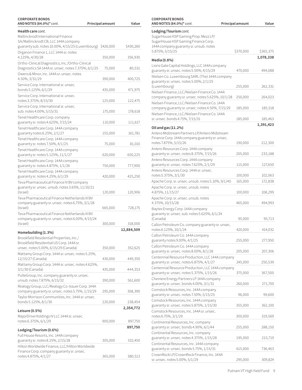| <b>CORPORATE BONDS</b><br>AND NOTES (84.0%)* cont.                                            | <b>Principal amount</b> | Value      |
|-----------------------------------------------------------------------------------------------|-------------------------|------------|
| Health care cont.                                                                             |                         |            |
| Mallinckrodt International Finance                                                            |                         |            |
| SA/Mallinckrodt CB, LLC 144A company                                                          |                         |            |
| guaranty sub. notes 10.00%, 4/15/25 (Luxembourg) \$426,000                                    |                         | \$430,260  |
| Organon Finance 1, LLC 144A sr. notes<br>4.125%, 4/30/28                                      | 350,000                 | 356,930    |
| Ortho-Clinical Diagnostics, Inc./Ortho-Clinical                                               |                         |            |
| Diagnostics SA 144A sr. unsec. notes 7.375%, 6/1/25                                           | 75,000                  | 80,531     |
| Owens & Minor, Inc. 144A sr. unsec. notes<br>4.50%, 3/31/29                                   | 390,000                 | 400,725    |
| Service Corp. International sr. unsec.<br>bonds 5.125%, 6/1/29                                | 435,000                 | 471,975    |
| Service Corp. International sr. unsec.<br>notes 3.375%, 8/15/30                               | 125,000                 | 122,475    |
| Service Corp. International sr. unsec.                                                        |                         |            |
| sub. notes 4.00%, 5/15/31                                                                     | 175,000                 | 178,618    |
| Tenet Healthcare Corp. company<br>guaranty sr. notes 4.625%, 7/15/24                          | 110,000                 | 111,617    |
| Tenet Healthcare Corp. 144A company                                                           |                         |            |
| guaranty notes 6.25%, 2/1/27                                                                  | 155,000                 | 161,781    |
| Tenet Healthcare Corp. 144A company<br>guaranty sr. notes 7.50%, 4/1/25                       | 75,000                  | 81,010     |
| Tenet Healthcare Corp. 144A company                                                           |                         |            |
| guaranty sr. notes 5.125%, 11/1/27                                                            | 620,000                 | 650,225    |
| Tenet Healthcare Corp. 144A company<br>guaranty sr. notes 4.875%, 1/1/26                      | 750,000                 | 777,900    |
| Tenet Healthcare Corp. 144A company                                                           |                         |            |
| guaranty sr. notes 4.25%, 6/1/29                                                              | 420,000                 | 425,250    |
| Teva Pharmaceutical Finance IV BV company<br>guaranty sr. unsec. unsub. notes 3.65%, 11/10/21 |                         |            |
| (Israel)<br>Teva Pharmaceutical Finance Netherlands III BV                                    | 120,000                 | 120,906    |
| company guaranty sr. unsec. notes 6.75%, 3/1/28<br>(Israel)                                   | 665,000                 | 728,175    |
| Teva Pharmaceutical Finance Netherlands III BV                                                |                         |            |
| company guaranty sr. unsec. notes 6.00%, 4/15/24                                              |                         |            |
| (Israel)                                                                                      | 300,000                 | 318,000    |
| Homebuilding (1.3%)                                                                           |                         | 12,884,509 |
| Brookfield Residential Properties, Inc./                                                      |                         |            |
| Brookfield Residential US Corp. 144A sr.                                                      |                         |            |
| unsec. notes 5.00%, 6/15/29 (Canada)                                                          | 350,000                 | 352,625    |
| Mattamy Group Corp. 144A sr. unsec. notes 5.25%,                                              |                         |            |
| 12/15/27 (Canada)                                                                             | 430,000                 | 449,350    |
| Mattamy Group Corp. 144A sr. unsec. notes 4.625%,<br>3/1/30 (Canada)                          | 435,000                 | 444,353    |
| PulteGroup, Inc. company guaranty sr. unsec.<br>unsub. notes 7.875%, 6/15/32                  | 390,000                 | 561,600    |
| Realogy Group, LLC/Realogy Co-Issuer Corp. 144A                                               |                         |            |
| company guaranty sr. unsec. notes 5.75%, 1/15/29                                              | 295,000                 | 308,390    |
| Taylor Morrison Communities, Inc. 144A sr. unsec.<br>bonds 5.125%, 8/1/30                     | 220,000                 | 238,454    |
|                                                                                               |                         | 2,354,772  |
| Leisure (0.5%)                                                                                |                         |            |
| MajorDrive Holdings IV LLC 144A sr. unsec.<br>notes 6.375%, 6/1/29                            | 900,000                 |            |
|                                                                                               |                         | 897,750    |
| Lodging/Tourism (0.6%)                                                                        |                         | 897,750    |
| Full House Resorts, Inc. 144A company                                                         |                         |            |
| guaranty sr. notes 8.25%, 2/15/28                                                             | 305,000                 | 332,450    |
| Hilton Worldwide Finance, LLC/Hilton Worldwide<br>Finance Corp. company guaranty sr. unsec.   |                         |            |
| notes 4.875%, 4/1/27                                                                          | 365,000                 | 380,513    |
|                                                                                               |                         |            |

| <b>CORPORATE BONDS</b><br>AND NOTES (84.0%)* cont.                                                                                             | <b>Principal amount</b> | Value                  |
|------------------------------------------------------------------------------------------------------------------------------------------------|-------------------------|------------------------|
| Lodging/Tourism cont.<br>SugarHouse HSP Gaming Prop. Mezz LP/<br>SugarHouse HSP Gaming Finance Corp.<br>144A company guaranty sr. unsub. notes |                         |                        |
| 5.875%, 5/15/25                                                                                                                                | \$370,000               | \$365,375<br>1,078,338 |
| Media (0.8%)                                                                                                                                   |                         |                        |
| Lions Gate Capital Holdings, LLC 144A company<br>guaranty sr. unsec. notes 5.50%, 4/15/29                                                      | 470,000                 | 494,088                |
| Nielsen Co. Luxembourg SARL (The) 144A company<br>guaranty sr. unsec. notes 5.00%, 2/1/25<br>(Luxembourg)                                      | 255,000                 | 262,331                |
| Nielsen Finance, LLC/Nielsen Finance Co. 144A<br>company guaranty sr. unsec. notes 5.625%, 10/1/28                                             | 250,000                 | 264,023                |
| Nielsen Finance, LLC/Nielsen Finance Co. 144A<br>company guaranty sr. unsec. notes 4.50%, 7/15/29                                              | 185,000                 | 185,518                |
| Nielsen Finance, LLC/Nielsen Finance Co. 144A<br>sr. unsec. bonds 4.75%, 7/15/31                                                               | 185,000                 | 185,463                |
|                                                                                                                                                |                         | 1,391,423              |
| Oil and gas (11.2%)<br>Antero Midstream Partners LP/Antero Midstream                                                                           |                         |                        |
| Finance Corp. 144A company guaranty sr. unsec.<br>notes 7.875%, 5/15/26                                                                        | 190,000                 | 212,300                |
| Antero Resources Corp. 144A company<br>guaranty sr. unsec. notes 8.375%, 7/15/26                                                               | 205,000                 | 233,188                |
| Antero Resources Corp. 144A company                                                                                                            |                         |                        |
| guaranty sr. unsec. notes 7.625%, 2/1/29                                                                                                       | 115,000                 | 127,650                |
| Antero Resources Corp. 144A sr. unsec.<br>notes 5.375%, 3/1/30                                                                                 | 100,000                 | 102,063                |
| Apache Corp. sr. unsec. unsub. notes 5.10%, 9/1/40                                                                                             | 165,000                 | 172,838                |
| Apache Corp. sr. unsec. unsub. notes<br>4.875%, 11/15/27                                                                                       | 100,000                 | 108,299                |
| Apache Corp. sr. unsec. unsub. notes<br>4.375%, 10/15/28                                                                                       | 465,000                 | 494,993                |
| Baytex Energy Corp. 144A company<br>guaranty sr. unsec. sub. notes 5.625%, 6/1/24<br>(Canada)                                                  | 95,000                  | 95,713                 |
| Callon Petroleum Co. company guaranty sr. unsec.                                                                                               |                         |                        |
| notes 6.125%, 10/1/24<br>Callon Petroleum Co. 144A company                                                                                     | 420,000                 | 414,032                |
| guaranty notes 9.00%, 4/1/25                                                                                                                   | 255,000                 | 277,950                |
| Callon Petroleum Co. 144A company<br>guaranty sr. unsec. notes 8.00%, 8/1/28                                                                   | 205,000                 | 207,306                |
| Centennial Resource Production, LLC 144A company<br>guaranty sr. unsec. notes 6.875%, 4/1/27                                                   | 245,000                 | 250,539                |
| Centennial Resource Production, LLC 144A company<br>guaranty sr. unsec. notes 5.375%, 1/15/26                                                  | 375,000                 | 367,500                |
| Cheniere Energy Partners LP 144A company<br>guaranty sr. unsec. bonds 4.00%, 3/1/31                                                            | 260,000                 | 271,700                |
| Comstock Resources, Inc. 144A company<br>guaranty sr. unsec. notes 7.50%, 5/15/25                                                              | 96,000                  | 99,600                 |
| Comstock Resources, Inc. 144A company<br>guaranty sr. unsec. notes 5.875%, 1/15/30                                                             | 355,000                 | 362,100                |
| Comstock Resources, Inc. 144A sr. unsec.<br>notes 6.75%, 3/1/29                                                                                | 300,000                 | 319,569                |
| Continental Resources, Inc. company<br>guaranty sr. unsec. bonds 4.90%, 6/1/44                                                                 | 255,000                 | 288,150                |
| Continental Resources, Inc. company                                                                                                            |                         |                        |
| guaranty sr. unsec. notes 4.375%, 1/15/28<br>Continental Resources, Inc. 144A company                                                          | 195,000                 | 215,719                |
| guaranty sr. unsec. bonds 5.75%, 1/15/31<br>CrownRock LP/CrownRock Finance, Inc. 144A                                                          | 615,000                 | 736,463                |
| sr. unsec. notes 5.00%, 5/1/29                                                                                                                 | 295,000                 | 309,824                |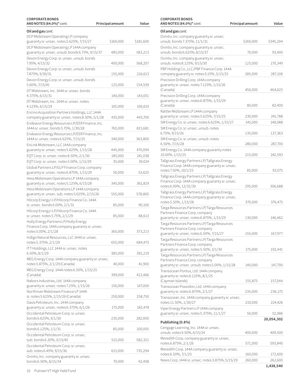| <b>CORPORATE BONDS</b><br>AND NOTES (84.0%)* cont. | Principal amount | Value     |
|----------------------------------------------------|------------------|-----------|
| Oil and gas cont.                                  |                  |           |
| DCP Midstream Operating LP company                 |                  |           |
| guaranty sr. unsec. notes 5.625%, 7/15/27          | \$160,000        | \$181,600 |
| DCP Midstream Operating LP 144A company            |                  |           |
| guaranty sr. unsec. unsub. bonds 6.75%, 9/15/37    | 485,000          | 583,213   |
| Devon Energy Corp. sr. unsec. unsub. bonds         |                  |           |
| 7.95%, 4/15/32                                     | 400,000          | 568,207   |
| Devon Energy Corp. sr. unsec. unsub. bonds         |                  |           |
| 7.875%, 9/30/31                                    | 155,000          | 216,613   |
| Devon Energy Corp. sr. unsec. unsub. bonds         |                  |           |
| 5.60%, 7/15/41                                     | 125,000          | 154,559   |
| DT Midstream, Inc. 144A sr. unsec. bonds           |                  |           |
| 4.375%, 6/15/31                                    | 140,000          | 143,051   |
| DT Midstream, Inc. 144A sr. unsec. notes           |                  |           |
| 4.125%, 6/15/29                                    | 105,000          | 106,610   |
| Encino Acquisition Partners Holdings, LLC 144A     |                  |           |
| company guaranty sr. unsec. notes 8.50%, 5/1/28    | 435,000          | 443,700   |
| Endeavor Energy Resources LP/EER Finance, Inc.     |                  |           |
| 144A sr. unsec. bonds 5.75%, 1/30/28               | 765,000          | 815,681   |
| Endeavor Energy Resources LP/EER Finance, Inc.     |                  |           |
| 144A sr. unsec. notes 6.625%, 7/15/25              | 340,000          | 363,800   |
| EnLink Midstream, LLC 144A company                 |                  |           |
| guaranty sr. unsec. notes 5.625%, 1/15/28          | 445,000          | 470,094   |
| EQT Corp. sr. unsec. notes 8.50%, 2/1/30           | 185,000          | 241,038   |
| EQT Corp. sr. unsec. notes 5.00%, 1/15/29          | 35,000           | 39,024    |
| Global Partners LP/GLP Finance Corp. company       |                  |           |
| guaranty sr. unsec. notes 6.875%, 1/15/29          | 50,000           | 53,625    |
| Hess Midstream Operations LP 144A company          |                  |           |
| guaranty sr. unsec. notes 5.125%, 6/15/28          | 345,000          | 361,819   |
| Hess Midstream Operations LP 144A company          |                  |           |
| guaranty sr. unsec. sub. notes 5.625%, 2/15/26     | 555,000          | 578,865   |
| Hilcorp Energy I LP/Hilcorp Finance Co. 144A       |                  |           |
| sr. unsec. bonds 6.00%, 2/1/31                     | 85,000           | 90,100    |
| Hilcorp Energy I LP/Hilcorp Finance Co. 144A       |                  |           |
| sr. unsec. notes 5.75%, 2/1/29                     | 85,000           | 88,613    |
| Holly Energy Partners LP/Holly Energy              |                  |           |
| Finance Corp. 144A company guaranty sr. unsec.     |                  |           |
| notes 5.00%, 2/1/28                                | 365,000          | 373,213   |
| Indigo Natural Resources, LLC 144A sr. unsec.      |                  |           |
| notes 5.375%, 2/1/29                               | 655,000          | 684,475   |
| ITT Holdings, LLC 144A sr. unsec. notes            |                  |           |
| 6.50%, 8/1/29                                      | 385,000          | 392,219   |
| MEG Energy Corp. 144A company guaranty sr. unsec.  |                  |           |
| notes 5.875%, 2/1/29 (Canada)                      | 40,000           | 41,900    |
| MEG Energy Corp. 144A notes 6.50%, 1/15/25         |                  |           |
| (Canada)                                           | 399,000          | 412,466   |
| Nabors Industries, Ltd. 144A company               |                  |           |
| guaranty sr. unsec. notes 7.25%, 1/15/26           | 150,000          | 147,000   |
| Northriver Midstream Finance LP 144A               |                  |           |
| sr. notes 5.625%, 2/15/26 (Canada)                 | 250,000          | 258,750   |
| Oasis Petroleum, Inc. 144A company                 |                  |           |
| guaranty sr. unsec. notes 6.375%, 6/1/26           | 175,000          | 182,478   |
| Occidental Petroleum Corp. sr. unsec.              |                  |           |
| bonds 6.625%, 9/1/30                               | 235,000          | 282,000   |
| Occidental Petroleum Corp. sr. unsec.              |                  |           |
| bonds 6.125%, 1/1/31                               | 85,000           | 100,005   |
| Occidental Petroleum Corp. sr. unsec.              |                  |           |
| sub. bonds 6.20%, 3/15/40                          | 515,000          | 582,321   |
| Occidental Petroleum Corp. sr. unsec.              |                  |           |
| sub. notes 6.45%, 9/15/36                          | 615,000          | 735,294   |
| Ovintiv, Inc. company guaranty sr. unsec.          |                  |           |
| bonds 6.50%, 8/15/34                               | 70,000           | 92,408    |

| <b>CORPORATE BONDS</b><br>AND NOTES (84.0%)* cont.                                       | <b>Principal amount</b> | Value                |
|------------------------------------------------------------------------------------------|-------------------------|----------------------|
| Oil and gas cont.                                                                        |                         |                      |
| Ovintiv, Inc. company guaranty sr. unsec.<br>unsub. bonds 7.375%, 11/1/31                | \$260,000               | \$345,204            |
| Ovintiv, Inc. company guaranty sr. unsec.<br>unsub. bonds 6.625%, 8/15/37                | 70,000                  | 93,400               |
| Ovintiv, Inc. company guaranty sr. unsec.<br>unsub.notes 8.125%, 9/15/30                 | 125,000                 | 170,349              |
| PBF Holding Co., LLC/PBF Finance Corp. 144A<br>company guaranty sr. notes 9.25%, 5/15/25 | 285,000                 | 287,106              |
| Precision Drilling Corp. 144A company                                                    |                         |                      |
| guaranty sr. unsec. notes 7.125%, 1/15/26<br>(Canada)                                    | 450,000                 | 464,625              |
| Precision Drilling Corp. 144A company                                                    |                         |                      |
| guaranty sr. unsec. notes 6.875%, 1/15/29<br>(Canada)                                    | 80,000                  | 82,400               |
| Rattler Midstream LP 144A company                                                        |                         |                      |
| guaranty sr. unsec. notes 5.625%, 7/15/25                                                | 230,000                 | 241,788              |
| SM Energy Co. sr. unsec. notes 6.625%, 1/15/27<br>SM Energy Co. sr. unsec. unsub. notes  | 145,000                 | 148,988              |
| 6.75%, 9/15/26                                                                           | 135,000                 | 137,363              |
| SM Energy Co. sr. unsec. unsub. notes<br>6.50%, 7/15/28                                  | 280,000                 | 287,700              |
| SM Energy Co. 144A company guaranty notes<br>10.00%, 1/15/25                             | 215,000                 | 242,593              |
| Tallgrass Energy Partners LP/Tallgrass Energy                                            |                         |                      |
| Finance Corp. 144A company guaranty sr. unsec.<br>notes 7.50%, 10/1/25                   | 85,000                  | 93,075               |
| Tallgrass Energy Partners LP/Tallgrass Energy                                            |                         |                      |
| Finance Corp. 144A company guaranty sr. unsec.                                           |                         |                      |
| notes 6.00%, 12/31/30<br>Tallgrass Energy Partners LP/Tallgrass Energy                   | 295,000                 | 306,688              |
| Finance Corp. 144A company guaranty sr. unsec.                                           |                         |                      |
| notes 5.50%, 1/15/28                                                                     | 370,000                 | 376,475              |
| Targa Resources Partners LP/Targa Resources<br>Partners Finance Corp. company            |                         |                      |
| guaranty sr. unsec. notes 6.875%, 1/15/29                                                | 130,000                 | 146,462              |
| Targa Resources Partners LP/Targa Resources                                              |                         |                      |
| Partners Finance Corp. company<br>guaranty sr. unsec. notes 6.50%, 7/15/27               | 155,000                 | 167,977              |
| Targa Resources Partners LP/Targa Resources                                              |                         |                      |
| Partners Finance Corp. company<br>guaranty sr. unsec. notes 5.50%, 3/1/30                | 175,000                 | 192,441              |
| Targa Resources Partners LP/Targa Resources                                              |                         |                      |
| Partners Finance Corp. company<br>guaranty sr. unsec. unsub. notes 5.00%, 1/15/28        | 140,000                 | 147,700              |
| Transocean Pontus, Ltd. 144A company                                                     |                         |                      |
| guaranty sr. notes 6.125%, 8/1/25                                                        |                         |                      |
| (Cayman Islands)<br>Transocean Poseidon, Ltd. 144A company                               | 155,875                 | 157,044              |
| guaranty sr. notes 6.875%, 2/1/27                                                        | 235,000                 | 236,175              |
| Transocean, Inc. 144A company guaranty sr. unsec.<br>notes 11.50%, 1/30/27               | 210,000                 | 224,426              |
| Viper Energy Partners LP 144A company                                                    |                         |                      |
| guaranty sr. unsec. notes 5.375%, 11/1/27                                                | 50,000                  | 52,086<br>20,054,302 |
| Publishing (0.8%)                                                                        |                         |                      |
| Cengage Learning, Inc. 144A sr. unsec.<br>unsub. notes 9.50%, 6/15/24                    | 400,000                 | 409,500              |
| Meredith Corp. company guaranty sr. unsec.<br>notes 6.875%, 2/1/26                       | 571,000                 | 593,840              |
| Meredith Corp. 144A company guaranty sr. unsec.                                          |                         |                      |
| notes 6.50%, 7/1/25                                                                      | 160,000                 | 172,600              |
| News Corp. 144A sr. unsec. notes 3.875%, 5/15/29                                         | 260,000                 | 262,600<br>1 438 540 |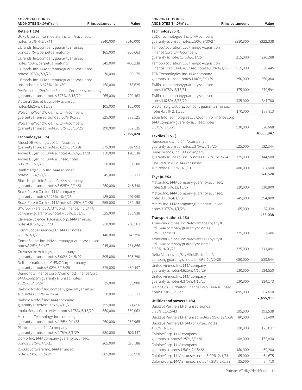| <b>CORPORATE BONDS</b><br>AND NOTES (84.0%)* cont.                                           | Principal amount | Value     |
|----------------------------------------------------------------------------------------------|------------------|-----------|
| Retail (1.1%)<br>BCPE Ulysses Intermediate, Inc. 144A sr. unsec.                             |                  |           |
| notes 7.75%, 4/1/27 ‡‡                                                                       | \$240,000        | \$246,000 |
| L Brands, Inc. company guaranty sr. unsec.<br>bonds 6.75%, perpetual maturity                | 165,000          | 206,663   |
| L Brands, Inc. company guaranty sr. unsec.<br>notes 7.50%, perpetual maturity                | 345,000          | 406,238   |
| L Brands, Inc. 144A company guaranty sr. unsec.<br>notes 9.375%, 7/1/25                      | 70,000           | 90,475    |
| L Brands, Inc. 144A company guaranty sr. unsec.<br>unsub. bonds 6.625%, 10/1/30              | 150,000          | 173,625   |
| PetSmart Inc/PetSmart Finance Corp. 144A company<br>guaranty sr. unsec. notes 7.75%, 2/15/29 | 265,000          | 292,163   |
| Victoria's Secret & Co. 144A sr. unsec.<br>notes 4.625%, 7/15/29                             | 105,000          | 105,000   |
| Wolverine World Wide, Inc. 144A company                                                      |                  |           |
| guaranty sr. unsec. bonds 5.00%, 9/1/26<br>Wolverine World Wide, Inc. 144A company           | 325,000          | 333,125   |
| guaranty sr. unsec. notes 6.375%, 5/15/25                                                    | 190,000          | 202,135   |
| Technology (4.8%)                                                                            |                  | 2,055,424 |
| Ahead DB Holdings, LLC 144A company                                                          |                  |           |
| guaranty sr. unsec. notes 6.625%, 5/1/28                                                     | 375,000          | 387,953   |
| Arches Buyer, Inc. 144A sr. notes 4.25%, 6/1/28                                              | 130,000          | 128,538   |
| Arches Buyer, Inc. 144A sr. unsec. notes<br>6.125%, 12/1/28                                  | 50,000           | 51,500    |
| Banff Merger Sub, Inc. 144A sr. unsec.                                                       |                  |           |
| notes 9.75%, 9/1/26                                                                          | 345,000          | 363,113   |
| Black Knight InfoServ, LLC 144A company<br>guaranty sr. unsec. notes 3.625%, 9/1/28          | 250,000          | 248,740   |
| Boxer Parent Co., Inc. 144A company                                                          |                  |           |
| guaranty sr. notes 7.125%, 10/2/25                                                           | 185,000          | 197,950   |
| Boxer Parent Co., Inc. 144A notes 9.125%, 3/1/26                                             | 255,000          | 269,158   |
| BY Crown Parent LLC/BY Bond Finance, Inc. 144A<br>company guaranty sr. notes 4.25%, 1/31/26  | 125,000          | 130,938   |
| Clarivate Science Holdings Corp. 144A sr. unsec.<br>notes 4.875%, 6/30/29                    | 250,000          | 256,563   |
| CommScope Finance, LLC 144A sr. notes<br>6.00%, 3/1/26                                       | 140,000          | 147,798   |
| CommScope, Inc. 144A company guaranty sr. unsec.<br>notes 8.25%, 3/1/27                      | 245,000          | 261,856   |
| Crowdstrike Holdings, Inc. company                                                           |                  |           |
| guaranty sr. unsec. notes 3.00%, 2/15/29                                                     | 305,000          | 305,290   |
| Dell International, LLC/EMC Corp. company                                                    |                  |           |
| guaranty sr. notes 6.02%, 6/15/26                                                            | 375,000          | 450,197   |
| Diamond 1 Finance Corp./Diamond 2 Finance Corp.<br>144A company guaranty sr. unsec. notes    |                  |           |
| 7.125%, 6/15/24                                                                              | 35,000           | 35,900    |
| Diebold Nixdorf, Inc. company guaranty sr. unsec.<br>sub. notes 8.50%, 4/15/24               | 350,000          | 358,313   |
| Diebold Nixdorf, Inc. 144A company                                                           |                  |           |
| guaranty sr. notes 9.375%, 7/15/25                                                           | 155,000          | 171,856   |
| Imola Merger Corp. 144A sr. notes 4.75%, 5/15/29                                             | 350,000          | 360,063   |
| Microchip Technology, Inc. company<br>guaranty sr. unsec. notes 4.25%, 9/1/25                | 260,000          | 272,965   |
| Plantronics, Inc. 144A company                                                               |                  |           |
| guaranty sr. unsec. notes 4.75%, 3/1/29<br>Qorvo, Inc. 144A company guaranty sr. unsec.      | 530,000          | 526,147   |
| bonds 3.375%, 4/1/31                                                                         | 265,000          | 276,188   |
| Rocket Software, Inc. 144A sr. unsec.<br>notes 6.50%, 2/15/29                                | 605,000          | 598,950   |

| <b>CORPORATE BONDS</b><br>AND NOTES (84.0%)* cont.                                                      | <b>Principal amount</b> | Value            |
|---------------------------------------------------------------------------------------------------------|-------------------------|------------------|
| Technology cont.                                                                                        |                         |                  |
| SS&C Technologies, Inc. 144A company                                                                    |                         |                  |
| guaranty sr. unsec. notes 5.50%, 9/30/27                                                                | \$210,000               | \$222,338        |
| Tempo Acquisition, LLC/Tempo Acquisition<br>Finance Corp. 144A company                                  |                         |                  |
| guaranty sr. notes 5.75%, 6/1/25                                                                        | 215,000                 | 226,288          |
| Tempo Acquisition, LLC/Tempo Acquisition                                                                |                         |                  |
| Finance Corp. 144Asr. unsec. notes 6.75%, 6/1/25                                                        | 915,000                 | 930,445          |
| TTM Technologies, Inc. 144A company<br>guaranty sr. unsec. notes $4.00\%, 3/1/29$                       | 250,000                 | 250,000          |
| Twilio, Inc. company guaranty sr. unsec.                                                                |                         |                  |
| notes 3.875%, 3/15/31                                                                                   | 175,000                 | 179,594          |
| Twilio, Inc. company guaranty sr. unsec.                                                                |                         |                  |
| notes 3.625%, 3/15/29                                                                                   | 335,000                 | 341,700          |
| Western Digital Corp. company guaranty sr. unsec.<br>notes 4.75%, 2/15/26                               | 170,000                 | 188,913          |
| ZoomInfo Technologies LLC/ZoomInfo Finance Corp.                                                        |                         |                  |
| 144A company guaranty sr. unsec. notes                                                                  |                         |                  |
| 3.875%, 2/1/29                                                                                          | 530,000                 | 526,688          |
| Textiles (0.5%)                                                                                         |                         | 8,665,942        |
| Hanesbrands, Inc. 144A company                                                                          |                         |                  |
| guaranty sr. unsec. notes 5.375%, 5/15/25                                                               | 125,000                 | 132,344          |
| Hanesbrands, Inc. 144A company<br>guaranty sr. unsec. unsub. notes 4.625%, 5/15/24                      | 325,000                 | 344,500          |
| Levi Strauss & Co. 144A sr. unsec.                                                                      |                         |                  |
| sub. bonds 3.50%, 3/1/31                                                                                | 400,000                 | 397,680          |
| Toys (0.3%)                                                                                             |                         | 874,524          |
| Mattel, Inc. 144A company guaranty sr. unsec.                                                           |                         |                  |
| notes 5.875%, 12/15/27                                                                                  | 120,000                 | 130,800          |
| Mattel, Inc. 144A company guaranty sr. unsec.                                                           |                         |                  |
| notes 3.75%, 4/1/29<br>Mattel, Inc. 144A company guaranty sr. unsec.                                    | 245,000                 | 254,800          |
| notes 3.375%, 4/1/26                                                                                    | 65,000                  | 67,438           |
| Transportation (1.4%)                                                                                   |                         | 453,038          |
| American Airlines, Inc./AAdvantage Loyalty IP,                                                          |                         |                  |
| Ltd. 144A company guaranty sr. notes                                                                    |                         |                  |
| 5.75%, 4/20/29                                                                                          | 325,000                 | 351,406          |
| American Airlines, Inc./AAdvantage Loyalty IP,<br>Ltd. 144A company guaranty sr. notes                  |                         |                  |
| 5.50%, 4/20/26                                                                                          | 325,000                 | 344,094          |
| Delta Air Lines Inc/SkyMiles IP, Ltd. 144A                                                              |                         |                  |
| company guaranty sr. notes 4.75%, 10/20/28                                                              | 480,000                 | 533,644          |
| United Airlines, Inc. 144A company                                                                      |                         |                  |
| guaranty sr. notes 4.625%, 4/15/29<br>United Airlines, Inc. 144A company                                | 130,000                 | 134,550          |
| guaranty sr. notes 4.375%, 4/15/26                                                                      | 130,000                 | 134,573          |
| Watco Cos LLC/Watco Finance Corp. 144A sr. unsec.                                                       |                         |                  |
| notes 6.50%, 6/15/27                                                                                    | 895,000                 | 957,650          |
| Utilities and power (2.4%)                                                                              |                         | 2,455,917        |
| Buckeye Partners LP sr. unsec. bonds                                                                    |                         |                  |
| 5.85%, 11/15/43                                                                                         | 195,000                 | 193,538          |
| Buckeye Partners LP sr. unsec. notes 3.95%, 12/1/26                                                     | 80,000                  | 81,400           |
| Buckeye Partners LP 144A sr. unsec. notes<br>4.50%, 3/1/28                                              | 120,000                 | 123,037          |
| Calpine Corp. 144A company                                                                              |                         |                  |
| guaranty sr. notes 5.25%, 6/1/26                                                                        | 168,000                 | 172,830          |
| Calpine Corp. 144A company                                                                              |                         |                  |
| guaranty sr. notes 4.50%, 2/15/28                                                                       | 460,000                 | 469,200          |
| Calpine Corp. 144A sr. unsec. notes 5.00%, 2/1/31<br>Calpine Corp. 144A sr. unsec. notes 4.625%, 2/1/29 | 65,000<br>35,000        | 64,675<br>34,410 |
|                                                                                                         |                         |                  |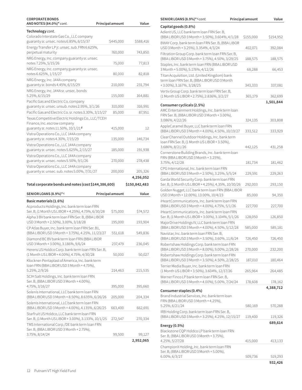| <b>CORPORATE BONDS</b><br>AND NOTES (84.0%)* cont.                                                     | <b>Principal amount</b> | Value         |
|--------------------------------------------------------------------------------------------------------|-------------------------|---------------|
| Technology cont.                                                                                       |                         |               |
| Colorado Interstate Gas Co., LLC company<br>guaranty sr. unsec. notes 6.85%, 6/15/37                   | \$445,000               | \$588,416     |
| Energy Transfer LP jr. unsec. sub. FRN 6.625%,<br>perpetual maturity                                   | 760,000                 | 743,850       |
| NRG Energy, Inc. company guaranty sr. unsec.<br>notes 7.25%, 5/15/26                                   | 75,000                  | 77,813        |
| NRG Energy, Inc. company guaranty sr. unsec.<br>notes 6.625%, 1/15/27                                  | 80,000                  | 82,818        |
| NRG Energy, Inc. 144A company<br>guaranty sr. bonds 4.45%, 6/15/29                                     | 210,000                 | 231,794       |
| NRG Energy, Inc. 144A sr. unsec. bonds<br>5.25%, 6/15/29                                               | 155,000                 | 164,881       |
| Pacific Gas and Electric Co. company<br>guaranty sr. unsec. unsub. notes 2.95%, 3/1/26                 | 310,000                 | 316,991       |
| Pacific Gas and Electric Co. sr. notes 3.30%, 3/15/27                                                  | 85,000                  | 87,951        |
| Texas Competitive Electric Holdings Co., LLC/TCEH                                                      |                         |               |
| Finance, Inc. escrow company                                                                           |                         |               |
| guaranty sr. notes 11.50%, 10/1/21F                                                                    | 415,000                 | 12            |
| Vistra Operations Co., LLC 144A company<br>guaranty sr. notes 4.30%, 7/15/29                           | 135,000                 | 146,734       |
| Vistra Operations Co., LLC 144A company<br>guaranty sr. unsec. notes 5.625%, 2/15/27                   | 185,000                 | 191,938       |
| Vistra Operations Co., LLC 144A company<br>guaranty sr. unsec. notes 5.50%, 9/1/26                     | 270,000                 | 278,438       |
| Vistra Operations Co., LLC 144A company<br>guaranty sr. unsec. sub. notes 5.00%, 7/31/27               | 200,000                 | 205,326       |
|                                                                                                        |                         |               |
|                                                                                                        |                         | 4,256,052     |
| Total corporate bonds and notes (cost \$144,386,600)                                                   |                         | \$150,842,483 |
| SENIOR LOANS (8.9%)* c                                                                                 | <b>Principal amount</b> | Value         |
| Basic materials (1.6%)                                                                                 |                         |               |
| Acproducts Holdings, Inc. bank term loan FRN                                                           |                         |               |
| Ser. B, (1 Month US LIBOR + 4.25%), 4.75%, 6/30/28<br>Alpha 3 BV bank term loan FRN Ser. B, (BBA LIBOR | \$75,000                | \$74,572      |
| USD 3 Month + 2.50%), 3.00%, 3/18/28<br>CP Atlas Buyer, Inc. bank term loan FRN Ser. B1,               | 195,000                 | 193,904       |
| (BBA LIBOR USD 3 Month + 3.75%), 4.25%, 11/23/27<br>Diamond BC BV bank term loan FRN (BBA LIBOR        | 551,618                 | 549,836       |
| USD 3 Month + 3.00%), 3.186%, 9/6/24<br>Herens US Holdco Corp. bank term loan FRN Ser. B,              | 237,479                 | 236,045       |
| (1 Month US LIBOR + 4.00%), 4.75%, 4/30/28                                                             | 50,000                  | 50,027        |
| Klockner-Pentaplast of America, Inc. bank term<br>loan FRN (BBA LIBOR USD 3 Month + 4.75%),            |                         |               |
| 5.25%, 2/9/26<br>SCIH Salt Holdings, Inc. bank term loan FRN                                           | 214,463                 | 215,535       |
| Ser. B, (BBA LIBOR USD 3 Month + 4.00%),<br>4.75%, 3/16/27                                             | 395,000                 | 395,660       |
| Solenis International, LLC bank term loan FRN<br>(BBA LIBOR USD 3 Month + 8.50%), 8.635%, 6/26/26      | 205,000                 | 204,334       |
| Solenis International, LLC bank term loan FRN<br>(BBALIBOR USD 3 Month + 4.00%), 4.135%, 6/26/25       | 663,400                 | 662,691       |
| Starfruit US Holdco, LLC bank term loan FRN<br>Ser. B, (1 Month US LIBOR + 3.00%), 3.133%, 10/1/25     | 272,547                 | 270,334       |
| TMS International Corp./DE bank term loan FRN<br>Ser. B, (BBA LIBOR USD 3 Month + 2.75%),              |                         |               |

| Capital goods (0.8%)                                                                                 |           |           |
|------------------------------------------------------------------------------------------------------|-----------|-----------|
| Adient US, LLC bank term loan FRN Ser. B,<br>(BBA LIBOR USD 3 Month + 3.50%), 3.604%, 4/1/28         | \$155,000 | \$154,952 |
| BWAY Corp. bank term loan FRN Ser. B, (BBA LIBOR<br>USD 3 Month + 3.25%), 3.354%, 4/3/24             | 402,071   | 392,084   |
| Filtration Group Corp. bank term loan FRN Ser. B,<br>(BBA LIBOR USD 3 Month + 3.75%), 4.50%, 3/29/25 | 188,575   | 188,575   |
| Staples, Inc. bank term loan FRN (BBA LIBOR USD                                                      |           |           |
| 3 Month + 5.00%), 5.176%, 4/12/26<br>Titan Acquisition, Ltd. (United Kingdom) bank                   | 68,288    | 66,453    |
| term loan FRN Ser. B, (BBA LIBOR USD 3 Month<br>+3.00%), 3.167%, 3/28/25                             | 343,333   | 337,081   |
| Vertiv Group Corp. bank term loan FRN Ser. B,<br>(1 Month US LIBOR + 2.75%), 2.836%, 3/2/27          | 365,179   | 362,699   |
| Consumer cyclicals (2.5%)                                                                            |           | 1,501,844 |
| AMC Entertainment Holdings, Inc. bank term loan                                                      |           |           |
| FRN Ser. B, (BBA LIBOR USD 3 Month + 3.00%),<br>3.086%, 4/22/26                                      | 324,135   | 303,808   |
| AppleCaramel Buyer, LLC bank term loan FRN<br>(BBA LIBOR USD 3 Month + 4.00%), 4.50%, 10/19/27       | 333,512   | 333,929   |
| Clear Channel Outdoor Holdings, Inc. bank term                                                       |           |           |
| loan FRN Ser. B, (1 Month US LIBOR + 3.50%),<br>3.686%, 8/21/26                                      | 442,125   | 431,258   |
| Cornerstone Building Brands, Inc. bank term loan                                                     |           |           |
| FRN (BBA LIBOR USD 3 Month + 3.25%),<br>3.75%, 4/12/28                                               | 181,734   | 181,462   |
| CPG International, Inc. bank term loan FRN<br>(BBA LIBOR USD 3 Month + 2.50%), 3.25%, 5/5/24         | 229,591   | 229,263   |
| Garda World Security Corp. bank term loan FRN<br>Ser. B, (1 Month US LIBOR + 4.25%), 4.35%, 10/30/26 | 292,003   | 293,150   |
| Golden Nugget, LLC bank term loan FRN (BBA LIBOR<br>USD 3 Month + 12.00%), 13.00%, 10/4/23           | 85,000    | 94,350    |
| iHeartCommunications, Inc. bank term loan FRN<br>(BBA LIBOR USD 3 Month + 4.00%), 4.75%, 5/1/26      | 227,700   | 227,700   |
| iHeartCommunications, Inc. bank term loan FRN<br>Ser. B, (1 Month US LIBOR + 3.00%), 3.104%, 5/1/26  | 128,050   | 126,850   |
| MajorDrive Holdings IV, LLC bank term loan FRN<br>(BBA LIBOR USD 3 Month + 4.00%), 4.50%, 5/12/28    | 585,000   | 585,181   |
| Navistar, Inc. bank term loan FRN Ser. B,<br>(BBA LIBOR USD 3 Month + 3.50%), 3.60%, 11/6/24         | 726,450   | 726,450   |
| Robertshaw Holdings Corp. bank term loan FRN<br>(BBA LIBOR USD 3 Month + 8.00%), 9.00%, 2/28/26      | 270,000   | 232,200   |
| Robertshaw Holdings Corp. bank term loan FRN<br>(BBA LIBOR USD 3 Month + 3.50%), 4.50%, 2/28/25      | 187,010   | 180,464   |
| Terrier Media Buyer, Inc. bank term loan FRN<br>(1 Month US LIBOR + 3.50%), 3.604%, 12/17/26         | 265,964   | 264,485   |
| Werner Finco LP bank term loan FRN Ser. B,<br>(BBA LIBOR USD 3 Month + 4.00%), 5.00%, 7/24/24        | 178,608   | 178,162   |
| Consumer staples (0.4%)                                                                              |           | 4,388,712 |
| Brand Industrial Services, Inc. bank term loan                                                       |           |           |
| FRN (BBA LIBOR USD 3 Month + 4.25%),<br>5.25%, 6/21/24                                               | 580,169   | 570,288   |
| IRB Holding Corp. bank term loan FRN Ser. B,<br>(BBA LIBOR USD 3 Month + 3.25%), 4.25%, 12/15/27     | 119,400   | 119,326   |
| Energy (0.5%)                                                                                        |           | 689,614   |
| Blackstone CQP Holdco LP bank term loan FRN                                                          |           |           |
| Ser. B, (BBA LIBOR USD 3 Month + 3.75%),<br>4.25%, 5/27/28                                           | 415,000   | 413,133   |
| ChampionX Holding, Inc. bank term loan FRN<br>Ser. B, (BBA LIBOR USD 3 Month + 5.00%),               |           |           |
| 6.00%, 6/3/27                                                                                        | 509,736   | 519,293   |
|                                                                                                      |           | 932,426   |

**SENIOR LOANS (8.9%)\* c** *cont.* **Principal amount Value**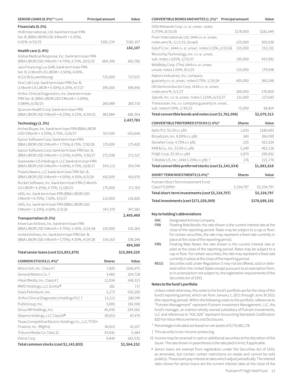| SENIOR LOANS (8.9%)* ccont.                                                                                      | <b>Principal amount</b> | Value                |
|------------------------------------------------------------------------------------------------------------------|-------------------------|----------------------|
| Financials (0.1%)<br>HUB International, Ltd. bank term loan FRN<br>Ser. B, (BBA LIBOR USD 3 Month + 3.25%),      |                         |                      |
| 4.00%, 4/25/25                                                                                                   | \$182,234               | \$182,107            |
| Health care (1.4%)                                                                                               |                         | 182,107              |
| Global Medical Response, Inc. bank term loan FRN<br>(BBA LIBOR USD 3 Month + 4.75%), 5.75%, 10/5/25              | 660,306                 | 662,782              |
| Jazz Financing Lux SARL bank term loan FRN<br>Ser. B, (1 Month US LIBOR + 3.50%), 4.00%,<br>4/22/28 (Luxembourg) | 725,000                 | 727,037              |
| One Call Corp. bank term loan FRN Ser. B,<br>(1 Month US LIBOR + 5.50%), 6.25%, 4/7/27                           | 395,000                 | 398,950              |
| Ortho-Clinical Diagnostics, Inc. bank term loan<br>FRN Ser. B, (BBA LIBOR USD 3 Month + 3.00%),                  |                         |                      |
| 3.089%, 6/30/25<br>Quorum Health Corp. bank term loan FRN<br>(BBA LIBOR USD 3 Month + 8.25%), 9.25%, 4/29/25     | 260,989                 | 260,710              |
|                                                                                                                  | 383,984                 | 388,304<br>2,437,783 |
| Technology (1.3%)<br>Arches Buyer, Inc. bank term loan FRN (BBA LIBOR                                            |                         |                      |
| USD 3 Month + 3.25%), 3.75%, 12/6/27                                                                             | 557,424                 | 555,646              |
| Epicor Software Corp. bank term loan FRN<br>(BBALIBOR USD 3 Month + 7.75%), 8.75%, 7/30/28                       | 170,000                 | 175,420              |
| Epicor Software Corp. bank term loan FRN Ser. B,<br>(BBA LIBOR USD 3 Month + 3.25%), 4.00%, 7/30/27              | 272,938                 | 272,517              |
| Greeneden US Holdings II, LLC bank term loan FRN<br>(BBA LIBOR USD 3 Month + 4.00%), 4.75%, 10/8/27              | 354,113                 | 354,746              |
| Polaris Newco, LLC bank term loan FRN Ser. B,<br>(BBA LIBOR USD 3 Month + 4.00%), 4.50%, 6/3/28                  | 410,000                 | 410,976              |
| Rocket Software, Inc. bank term loan FRN (1 Month<br>US LIBOR + 4.25%), 4.75%, 11/28/25                          | 175,000                 | 171,763              |
| UKG, Inc. bank term loan FRN (BBA LIBOR USD                                                                      |                         |                      |
| 3 Month + 6.75%), 7.50%, 5/3/27                                                                                  | 115,000                 | 116,820              |
| UKG, Inc. bank term loan FRN (BBA LIBOR USD<br>3 Month + 3.25%), 4.00%, 5/3/26                                   | 347,379                 | 347,581              |
| Transportation (0.3%)                                                                                            |                         | 2,405,469            |
| American Airlines, Inc. bank term loan FRN<br>(BBA LIBOR USD 3 Month + 4.75%), 5.50%, 3/24/28                    | 150,000                 | 156,263              |
| United Airlines, Inc. bank term loan FRN Ser. B,<br>(BBA LIBOR USD 3 Month + 3.75%), 4.50%, 4/14/28              | 334,163                 | 338,246              |
|                                                                                                                  |                         | 494,509              |
| Total senior loans (cost \$15,853,879)                                                                           |                         | \$15,984,529         |
| COMMON STOCKS (1.4%)*                                                                                            | <b>Shares</b>           | Value                |
| Altice USA, Inc. Class A                                                                                         | 7,820                   | \$266,975            |
| General Motors Co. †                                                                                             | 3,460                   | 204,728              |
| iHeartMedia, Inc. Class A                                                                                        | 12,934                  | 348,313              |
| MWO Holdings, LLC (Units) F                                                                                      | 281                     | 717                  |
| Oasis Petroleum, Inc.                                                                                            | 5,273                   | 530,200              |
| Ortho Clinical Diagnostics Holdings PLC                                                                          | 13,113                  | 280,749              |
| PulteGroup, Inc.                                                                                                 | 5,800                   | 316,506              |
| Sirius XM Holdings, Inc.                                                                                         | 45,040                  | 294,562              |
| Stearns Holdings, LLC Class BF                                                                                   | 39,053                  | 87,479               |
| Texas Competitive Electric Holdings Co., LLC/TCEH                                                                |                         |                      |
| Finance, Inc. (Rights)                                                                                           | 36,615                  | 42,107               |
| Tribune Media Co. Class 1C                                                                                       | 93,841                  | 9,384                |
| Vistra Corp.                                                                                                     | 9,840                   | 182,532              |
| Total common stocks (cost \$2,143,803)                                                                           |                         | \$2,564,252          |

| CONVERTIBLE BONDS AND NOTES (1.2%)*                                             | Principal amount | Value         |
|---------------------------------------------------------------------------------|------------------|---------------|
| DISH Network Corp. cv. sr. unsec. notes                                         |                  |               |
| 3.375%, 8/15/26                                                                 | \$178,000        | \$181,649     |
| Fiverr International, Ltd. 144A cv. sr. unsec.                                  |                  |               |
| notes zero %, 11/1/25, (Israel)                                                 | 225,000          | 300,038       |
| fuboTV, Inc. 144A cv. sr. unsec. notes 3.25%, 2/15/26                           | 155,000          | 152,191       |
| Microchip Technology, Inc. cv. sr. unsec.<br>sub. notes 1.625%, 2/15/27         | 195,000          | 433,992       |
| Middleby Corp. (The) 144A cv. sr. unsec.<br>unsub.notes 1.00%, 9/1/25           | 125,000          | 179,938       |
| Nabors Industries, Inc. company<br>guaranty cv. sr. unsec. notes 0.75%, 1/15/24 | 405,000          | 360,248       |
| ON Semiconductor Corp. 144A cv. sr. unsec.<br>notes zero %, 5/1/27              | 266,000          | 276,800       |
| Splunk, Inc. cv. sr. unsec. notes 1.125%, 6/15/27                               | 131,000          | 127,643       |
| Transocean, Inc. cv. company guaranty sr. unsec.<br>sub. notes 0.50%, 1/30/23   | 75,000           | 66,814        |
| Total convertible bonds and notes (cost \$1,762,996)                            |                  | \$2,079,313   |
| CONVERTIBLE PREFERRED STOCKS (1.0%)*                                            | <b>Shares</b>    | Value         |
|                                                                                 |                  |               |
| Aptiv PLC \$5.50 cv. pfd.                                                       | 1,020            | \$180,693     |
| Broadcom, Inc. 8.00% cv. pfd.                                                   | 240              | 364,769       |
| Danaher Corp. 4.75% cv. pfd.                                                    | 235              | 423,524       |
| KKR & Co., Inc. \$3.00 cv. pfd.                                                 | 5,249            | 402,126       |
| PG&E Corp. \$5.50 cv. pfd.                                                      | 2,870            | 290,932       |
| T-Mobile US, Inc. 144A 5.25% cv. pfd. †                                         | 176              | 221,774       |
| Total convertible preferred stocks (cost \$1,543,934)                           |                  | \$1,883,818   |
| SHORT-TERM INVESTMENTS (3.0%)*                                                  | <b>Shares</b>    | Value         |
| Putnam Short Term Investment Fund                                               |                  |               |
| Class P 0.09% L                                                                 | 5,334,797        | \$5,334,797   |
| Total short-term investments (cost \$5,334,797)                                 |                  | \$5,334,797   |
| Total investments (cost \$171,026,009)                                          |                  | \$178,689,192 |

#### **Key to holding's abbreviations**

DAC Designated Activity Company

- FRB Floating Rate Bonds: the rate shown is the current interest rate at the close of the reporting period. Rates may be subject to a cap or floor. For certain securities, the rate may represent a fixed rate currently in place at the close of the reporting period.
- FRN Floating Rate Notes: the rate shown is the current interest rate or yield at the close of the reporting period. Rates may be subject to a cap or floor. For certain securities, the rate may represent a fixed rate currently in place at the close of the reporting period.
- REGS Securities sold under Regulation S may not be offered, sold or delivered within the United States except pursuant to an exemption from, or in a transaction not subject to, the registration requirements of the Securities Act of 1933.

#### **Notes to the fund's portfolio**

Unless noted otherwise, the notes to the fund's portfolio are for the close of the fund's reporting period, which ran from January 1, 2021 through June 30 2021 (the reporting period). Within the following notes to the portfolio, references to "Putnam Management" represent Putnam Investment Management, LLC, the fund's manager, an indirect wholly-owned subsidiary of Putnam Investments, LLC and references to "ASC 820" represent Accounting Standards Codification 820 *Fair Value Measurements and Disclosures*.

\* Percentages indicated are based on net assets of \$179,582,178.

- † This security is non-income-producing.
- ‡‡ Income may be received in cash or additional securities at the discretion of the issuer. The rate shown in parenthesis is the rate paid in kind, if applicable.
- **<sup>c</sup>** Senior loans are exempt from registration under the Securities Act of 1933, as amended, but contain certain restrictions on resale and cannot be sold publicly. These loans pay interest at rates which adjust periodically. The interest rates shown for senior loans are the current interest rates at the close of the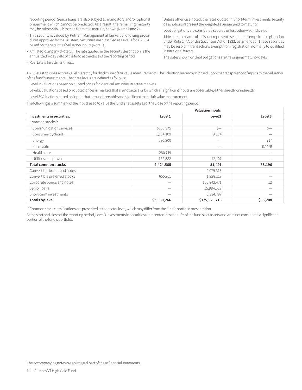reporting period. Senior loans are also subject to mandatory and/or optional prepayment which cannot be predicted. As a result, the remaining maturity may be substantially less than the stated maturity shown (Notes 1 and 7).

- **<sup>F</sup>** This security is valued by Putnam Management at fair value following procedures approved by the Trustees. Securities are classified as Level 3 for ASC 820 based on the securities' valuation inputs (Note 1).
- **<sup>L</sup>** Affiliated company (Note 5). The rate quoted in the security description is the annualized 7-day yield of the fund at the close of the reporting period.

Unless otherwise noted, the rates quoted in Short-term investments security descriptions represent the weighted average yield to maturity.

Debt obligations are considered secured unless otherwise indicated.

- 144A after the name of an issuer represents securities exempt from registration under Rule 144A of the Securities Act of 1933, as amended. These securities may be resold in transactions exempt from registration, normally to qualified institutional buyers.
- The dates shown on debt obligations are the original maturity dates.

**<sup>R</sup>** Real Estate Investment Trust.

ASC 820 establishes a three-level hierarchy for disclosure of fair value measurements. The valuation hierarchy is based upon the transparency of inputs to the valuation of the fund's investments. The three levels are defined as follows:

Level 1: Valuations based on quoted prices for identical securities in active markets.

Level 2: Valuations based on quoted prices in markets that are not active or for which all significant inputs are observable, either directly or indirectly.

Level 3: Valuations based on inputs that are unobservable and significant to the fair value measurement.

The following is a summary of the inputs used to value the fund's net assets as of the close of the reporting period:

|                              | <b>Valuation inputs</b>       |               |          |  |  |  |  |  |
|------------------------------|-------------------------------|---------------|----------|--|--|--|--|--|
| Investments in securities:   | Level 3<br>Level 1<br>Level 2 |               |          |  |  |  |  |  |
| Common stocks*:              |                               |               |          |  |  |  |  |  |
| Communication services       | \$266,975                     | $s-$          | $s-$     |  |  |  |  |  |
| Consumer cyclicals           | 1,164,109                     | 9,384         |          |  |  |  |  |  |
| Energy                       | 530,200                       |               | 717      |  |  |  |  |  |
| Financials                   |                               |               | 87,479   |  |  |  |  |  |
| Health care                  | 280,749                       |               |          |  |  |  |  |  |
| Utilities and power          | 182,532                       | 42,107        |          |  |  |  |  |  |
| Total common stocks          | 2,424,565                     | 51,491        | 88,196   |  |  |  |  |  |
| Convertible bonds and notes  |                               | 2,079,313     |          |  |  |  |  |  |
| Convertible preferred stocks | 655,701                       | 1,228,117     |          |  |  |  |  |  |
| Corporate bonds and notes    | $\overline{\phantom{a}}$      | 150,842,471   | 12       |  |  |  |  |  |
| Senior loans                 |                               | 15,984,529    |          |  |  |  |  |  |
| Short-term investments       |                               | 5,334,797     |          |  |  |  |  |  |
| Totals by level              | \$3,080,266                   | \$175,520,718 | \$88,208 |  |  |  |  |  |

\* Common stock classifications are presented at the sector level, which may differ from the fund's portfolio presentation.

At the start and close of the reporting period, Level 3 investments in securities represented less than 1% of the fund's net assets and were not considered a significant portion of the fund's portfolio.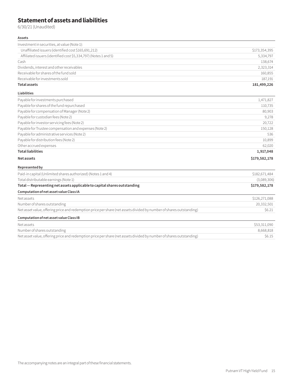# **Statement of assets and liabilities**

6/30/21 (Unaudited)

#### **Assets**

| Investment in securities, at value (Note 1):                     |               |
|------------------------------------------------------------------|---------------|
| Unaffiliated issuers (identified cost \$165,691,212)             | \$173,354,395 |
| Affiliated issuers (identified cost \$5,334,797) (Notes 1 and 5) | 5,334,797     |
| Cash                                                             | 138.674       |
| Dividends, interest and other receivables                        | 2,323,314     |
| Receivable for shares of the fund sold                           | 160,855       |
| Receivable for investments sold                                  | 187.191       |
| <b>Total assets</b>                                              | 181,499,226   |

#### **Liabilities**

| Payable for investments purchased                      | 1,471,827     |
|--------------------------------------------------------|---------------|
| Payable for shares of the fund repurchased             | 110,735       |
| Payable for compensation of Manager (Note 2)           | 80,903        |
| Payable for custodian fees (Note 2)                    | 9,278         |
| Payable for investor servicing fees (Note 2)           | 20,722        |
| Payable for Trustee compensation and expenses (Note 2) | 150,128       |
| Payable for administrative services (Note 2)           | 536           |
| Payable for distribution fees (Note 2)                 | 10.899        |
| Other accrued expenses                                 | 62.020        |
| <b>Total liabilities</b>                               | 1,917,048     |
| Net assets                                             | \$179,582,178 |

#### **Represented by**

| Paid-in capital (Unlimited shares authorized) (Notes 1 and 4)                                                       | \$182,671,484 |
|---------------------------------------------------------------------------------------------------------------------|---------------|
| Total distributable earnings (Note 1)                                                                               | (3,089,306)   |
| Total - Representing net assets applicable to capital shares outstanding                                            | \$179,582,178 |
| Computation of net asset value Class IA                                                                             |               |
| Net assets                                                                                                          | \$126,271,088 |
| Number of shares outstanding                                                                                        | 20,332,501    |
| Net asset value, offering price and redemption price per share (net assets divided by number of shares outstanding) | \$6.21        |
| Computation of net asset value Class IB                                                                             |               |
| Net assets                                                                                                          | \$53,311,090  |
| Number of shares outstanding                                                                                        | 8,668,818     |
| Net asset value, offering price and redemption price per share (net assets divided by number of shares outstanding) | \$6.15        |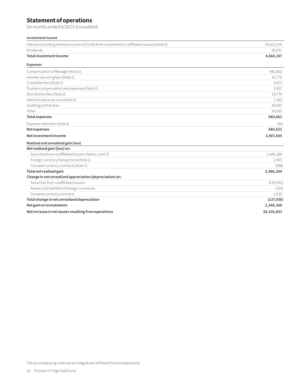# **Statement of operations**

Six months ended 6/30/21 (Unaudited)

#### **Investment income**

| Interest (including interest income of \$3,456 from investments in affiliated issuers) (Note 5) | \$4,612,076 |
|-------------------------------------------------------------------------------------------------|-------------|
| Dividends                                                                                       | 56,031      |
| Total investment income                                                                         | 4,668,107   |
| <b>Expenses</b>                                                                                 |             |
| Compensation of Manager (Note 2)                                                                | 482,802     |
| Investor servicing fees (Note 2)                                                                | 61,779      |
| Custodian fees (Note 2)                                                                         | 6,613       |
| Trustee compensation and expenses (Note 2)                                                      | 3,921       |
| Distribution fees (Note 2)                                                                      | 63,774      |
| Administrative services (Note 2)                                                                | 1,590       |
| Auditing and tax fees                                                                           | 36,090      |
| Other                                                                                           | 24,093      |
| <b>Total expenses</b>                                                                           | 680,662     |
| Expense reduction (Note 2)                                                                      | (40)        |
| Net expenses                                                                                    | 680,622     |
| Net investment income                                                                           | 3,987,485   |
| Realized and unrealized gain (loss)                                                             |             |
| Net realized gain (loss) on:                                                                    |             |
| Securities from unaffiliated issuers (Notes 1 and 3)                                            | 2,484,289   |
| Foreign currency transactions (Note 1)                                                          | 2,403       |
| Forward currency contracts (Note 1)                                                             | (388)       |
| Total net realized gain                                                                         | 2,486,304   |
| Change in net unrealized appreciation (depreciation) on:                                        |             |
| Securities from unaffiliated issuers                                                            | (139, 541)  |
| Assets and liabilities in foreign currencies                                                    | (334)       |
| Forward currency contracts                                                                      | 1,939       |
| Total change in net unrealized depreciation                                                     | (137, 936)  |
| Net gain on investments                                                                         | 2,348,368   |
| Net increase in net assets resulting from operations                                            | \$6,335,853 |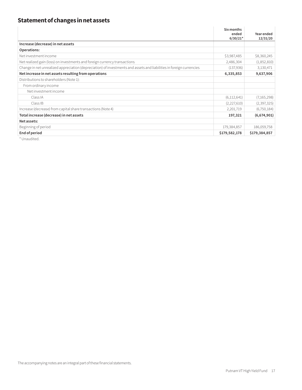# **Statement of changes in net assets**

|                                                                                                                      | Six months<br>ended<br>$6/30/21*$ | Year ended<br>12/31/20 |
|----------------------------------------------------------------------------------------------------------------------|-----------------------------------|------------------------|
| Increase (decrease) in net assets                                                                                    |                                   |                        |
| Operations:                                                                                                          |                                   |                        |
| Net investment income                                                                                                | \$3,987,485                       | \$8,360,245            |
| Net realized gain (loss) on investments and foreign currency transactions                                            | 2,486,304                         | (1,852,810)            |
| Change in net unrealized appreciation (depreciation) of investments and assets and liabilities in foreign currencies | (137,936)                         | 3,130,471              |
| Net increase in net assets resulting from operations                                                                 | 6,335,853                         | 9,637,906              |
| Distributions to shareholders (Note 1):                                                                              |                                   |                        |
| From ordinary income                                                                                                 |                                   |                        |
| Net investment income                                                                                                |                                   |                        |
| Class IA                                                                                                             | (6, 112, 641)                     | (7, 165, 298)          |
| Class IB                                                                                                             | (2, 227, 610)                     | (2, 397, 325)          |
| Increase (decrease) from capital share transactions (Note 4)                                                         | 2,201,719                         | (6, 750, 184)          |
| Total increase (decrease) in net assets                                                                              | 197,321                           | (6,674,901)            |
| Net assets:                                                                                                          |                                   |                        |
| Beginning of period                                                                                                  | 179,384,857                       | 186,059,758            |
| End of period                                                                                                        | \$179,582,178                     | \$179,384,857          |

\* Unaudited.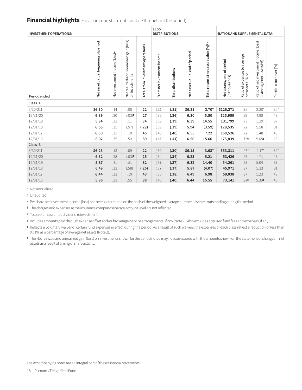### **Financial highlights**(For a common share outstanding throughout the period)

| <b>INVESTMENT OPERATIONS:</b> |                                      |                                           |                                                                   |                                  | LESS                       | <b>DISTRIBUTIONS:</b> |                                |                                        | <b>RATIOS AND SUPPLEMENTAL DATA:</b>       |                                                   |                                                                    |                        |
|-------------------------------|--------------------------------------|-------------------------------------------|-------------------------------------------------------------------|----------------------------------|----------------------------|-----------------------|--------------------------------|----------------------------------------|--------------------------------------------|---------------------------------------------------|--------------------------------------------------------------------|------------------------|
| Period ended                  | Net asset value, beginning of period | Net investment income (loss) <sup>a</sup> | gain(loss)<br>andunrealized<br>Net realized and<br>on investments | Total from investment operations | From net investment income | Total distributions   | Net asset value, end of period | Total return at net asset value (%)b,c | Net assets, end of period<br>(inthousands) | Ratio of expenses to average<br>net assets (%)b,d | Ratio of net investment income (loss)<br>to average net assets (%) | Portfolio turnover (%) |
| Class IA                      |                                      |                                           |                                                                   |                                  |                            |                       |                                |                                        |                                            |                                                   |                                                                    |                        |
| 6/30/211                      | \$6.30                               | .14                                       | .08                                                               | .22                              | (.31)                      | (.31)                 | \$6.21                         | $3.70*$                                | \$126,271                                  | $.35*$                                            | $2.30*$                                                            | $30*$                  |
| 12/31/20                      | 6.39                                 | .30                                       | $(.03)$ f                                                         | .27                              | (.36)                      | (.36)                 | 6.30                           | 5.50                                   | 125,959                                    | .72                                               | 4.98                                                               | 48                     |
| 12/31/19                      | 5.94                                 | .33                                       | .51                                                               | .84                              | (.39)                      | (.39)                 | 6.39                           | 14.55                                  | 131,799                                    | .73                                               | 5.29                                                               | 37                     |
| 12/31/18                      | 6.55                                 | .35                                       | (.57)                                                             | (.22)                            | (.39)                      | (.39)                 | 5.94                           | (3.59)                                 | 129,535                                    | .72                                               | 5.58                                                               | 31                     |
| 12/31/17                      | 6.50                                 | .35                                       | .10                                                               | .45                              | (.40)                      | (.40)                 | 6.55                           | 7.22                                   | 160,526                                    | .72                                               | 5.48                                                               | 43                     |
| 12/31/16                      | 6.02                                 | .35                                       | .54                                                               | .89                              | (.41)                      | (.41)                 | 6.50                           | 15.66                                  | 175,839                                    | .72e                                              | 5.68e                                                              | 48                     |
| Class IB                      |                                      |                                           |                                                                   |                                  |                            |                       |                                |                                        |                                            |                                                   |                                                                    |                        |
| 6/30/21                       | \$6.23                               | .13                                       | .09                                                               | .22                              | (.30)                      | (.30)                 | \$6.15                         | $3.63*$                                | \$53,311                                   | $.47*$                                            | $2.17*$                                                            | $30*$                  |
| 12/31/20                      | 6.32                                 | .28                                       | $(.03)$ f                                                         | .25                              | (.34)                      | (.34)                 | 6.23                           | 5.21                                   | 53,426                                     | .97                                               | 4.71                                                               | 48                     |
| 12/31/19                      | 5.87                                 | .31                                       | .51                                                               | .82                              | (.37)                      | (.37)                 | 6.32                           | 14.40                                  | 54,261                                     | .98                                               | 5.04                                                               | 37                     |
| 12/31/18                      | 6.49                                 | .33                                       | (.58)                                                             | (.25)                            | (.37)                      | (.37)                 | 5.87                           | (4.07)                                 | 45,971                                     | .97                                               | 5.33                                                               | 31                     |
| 12/31/17                      | 6.44                                 | .33                                       | .10                                                               | .43                              | (.38)                      | (.38)                 | 6.49                           | 6.98                                   | 59,038                                     | .97                                               | 5.23                                                               | 43                     |
| 12/31/16                      | 5.96                                 | .33                                       | .55                                                               | .88                              | (.40)                      | (.40)                 | 6.44                           | 15.55                                  | 73,141                                     | .97e                                              | 5.39e                                                              | 48                     |

\* Not annualized.

† Unaudited.

**<sup>a</sup>** Per share net investment income (loss) has been determined on the basis of the weighted average number of shares outstanding during the period.

**<sup>b</sup>** The charges and expenses at the insurance company separate account level are not reflected.

**<sup>c</sup>** Total return assumes dividend reinvestment.

**<sup>d</sup>** Includes amounts paid through expense offset and/or brokerage/service arrangements, if any (Note 2). Also excludes acquired fund fees and expenses, if any.

**<sup>e</sup>** Reflects a voluntary waiver of certain fund expenses in effect during the period. As a result of such waivers, the expenses of each class reflect a reduction of less than 0.01% as a percentage of average net assets (Note 2).

**<sup>f</sup>** The Net realized and unrealized gain (loss) on investments shown for the period noted may not correspond with the amounts shown on the Statement of changes in net assets as a result of timing of share activity.

The accompanying notes are an integral part of these financial statements.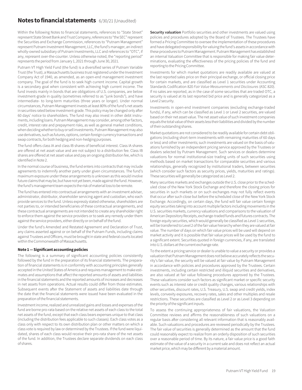# **Notes to financial statements** 6/30/21 (Unaudited)

Within the following Notes to financial statements, references to "State Street" represent State Street Bank and Trust Company, references to "the SEC" represent the Securities and Exchange Commission, references to "Putnam Management" represent Putnam Investment Management, LLC, the fund's manager, an indirect wholly-owned subsidiary of Putnam Investments, LLC and references to "OTC", if any, represent over-the-counter. Unless otherwise noted, the "reporting period" represents the period from January 1, 2021 through June 30, 2021.

Putnam VT High Yield Fund (the fund) is a diversified series of Putnam Variable Trust (the Trust), a Massachusetts business trust registered under the Investment Company Act of 1940, as amended, as an open-end management investment company. The goal of the fund is to seek high current income. Capital growth is a secondary goal when consistent with achieving high current income. The fund invests mainly in bonds that are obligations of U.S. companies, are below investment-grade in quality (sometimes referred to as "junk bonds"), and have intermediate- to long-term maturities (three years or longer). Under normal circumstances, Putnam Management invests at least 80% of the fund's net assets in securities rated below investment-grade. This policy may be changed only after 60 days' notice to shareholders. The fund may also invest in other debt instruments, including loans. Putnam Management may consider, among other factors, credit, interest rate and prepayment risks, as well as general market conditions, when deciding whether to buy or sell investments. Putnam Management may also use derivatives, such as futures, options, certain foreign currency transactions and swap contracts, for both hedging and non-hedging purposes.

The fund offers class IA and class IB shares of beneficial interest. Class IA shares are offered at net asset value and are not subject to a distribution fee. Class IB shares are offered at net asset value and pay an ongoing distribution fee, which is identified in Note 2.

In the normal course of business, the fund enters into contracts that may include agreements to indemnify another party under given circumstances. The fund's maximum exposure under these arrangements is unknown as this would involve future claims that may be, but have not yet been, made against the fund. However, the fund's management team expects the risk of material loss to be remote.

The fund has entered into contractual arrangements with an investment adviser, administrator, distributor, shareholder servicing agent and custodian, who each provide services to the fund. Unless expressly stated otherwise, shareholders are not parties to, or intended beneficiaries of these contractual arrangements, and these contractual arrangements are not intended to create any shareholder right to enforce them against the service providers or to seek any remedy under them against the service providers, either directly or on behalf of the fund.

Under the fund's Amended and Restated Agreement and Declaration of Trust, any claims asserted against or on behalf of the Putnam Funds, including claims against Trustees and Officers, must be brought in state and federal courts located within the Commonwealth of Massachusetts.

#### **Note 1 — Significant accounting policies**

The following is a summary of significant accounting policies consistently followed by the fund in the preparation of its financial statements. The preparation of financial statements is in conformity with accounting principles generally accepted in the United States of America and requires management to make estimates and assumptions that affect the reported amounts of assets and liabilities in the financial statements and the reported amounts of increases and decreases in net assets from operations. Actual results could differ from those estimates. Subsequent events after the Statement of assets and liabilities date through the date that the financial statements were issued have been evaluated in the preparation of the financial statements.

Investment income, realized and unrealized gains and losses and expenses of the fund are borne pro-rata based on the relative net assets of each class to the total net assets of the fund, except that each class bears expenses unique to that class (including the distribution fees applicable to such classes). Each class votes as a class only with respect to its own distribution plan or other matters on which a class vote is required by law or determined by the Trustees. If the fund were liquidated, shares of each class would receive their pro-rata share of the net assets of the fund. In addition, the Trustees declare separate dividends on each class of shares.

**Security valuation** Portfolio securities and other investments are valued using policies and procedures adopted by the Board of Trustees. The Trustees have formed a Pricing Committee to oversee the implementation of these procedures and have delegated responsibility for valuing the fund's assets in accordance with these procedures to Putnam Management. Putnam Management has established an internal Valuation Committee that is responsible for making fair value determinations, evaluating the effectiveness of the pricing policies of the fund and reporting to the Pricing Committee.

Investments for which market quotations are readily available are valued at the last reported sales price on their principal exchange, or official closing price for certain markets, and are classified as Level 1 securities under Accounting Standards Codification 820 *Fair Value Measurements and Disclosures* (ASC 820). If no sales are reported, as in the case of some securities that are traded OTC, a security is valued at its last reported bid price and is generally categorized as a Level 2 security.

Investments in open-end investment companies (excluding exchange-traded funds), if any, which can be classified as Level 1 or Level 2 securities, are valued based on their net asset value. The net asset value of such investment companies equals the total value of their assets less their liabilities and divided by the number of their outstanding shares.

Market quotations are not considered to be readily available for certain debt obligations (including short-term investments with remaining maturities of 60 days or less) and other investments; such investments are valued on the basis of valuations furnished by an independent pricing service approved by the Trustees or dealers selected by Putnam Management. Such services or dealers determine valuations for normal institutional-size trading units of such securities using methods based on market transactions for comparable securities and various relationships, generally recognized by institutional traders, between securities (which consider such factors as security prices, yields, maturities and ratings). These securities will generally be categorized as Level 2.

Many securities markets and exchanges outside the U.S. close prior to the scheduled close of the New York Stock Exchange and therefore the closing prices for securities in such markets or on such exchanges may not fully reflect events that occur after such close but before the scheduled close of the New York Stock Exchange. Accordingly, on certain days, the fund will fair value certain foreign equity securities taking into account multiple factors including movements in the U.S. securities markets, currency valuations and comparisons to the valuation of American Depository Receipts, exchange-traded funds and futures contracts. The foreign equity securities, which would generally be classified as Level 1 securities, will be transferred to Level 2 of the fair value hierarchy when they are valued at fair value. The number of days on which fair value prices will be used will depend on market activity and it is possible that fair value prices will be used by the fund to a significant extent. Securities quoted in foreign currencies, if any, are translated into U.S. dollars at the current exchange rate.

To the extent a pricing service or dealer is unable to value a security or provides a valuation that Putnam Management does not believe accurately reflects the security's fair value, the security will be valued at fair value by Putnam Management in accordance with policies and procedures approved by the Trustees. Certain investments, including certain restricted and illiquid securities and derivatives, are also valued at fair value following procedures approved by the Trustees. These valuations consider such factors as significant market or specific security events such as interest rate or credit quality changes, various relationships with other securities, discount rates, U.S. Treasury, U.S. swap and credit yields, index levels, convexity exposures, recovery rates, sales and other multiples and resale restrictions. These securities are classified as Level 2 or as Level 3 depending on the priority of the significant inputs.

To assess the continuing appropriateness of fair valuations, the Valuation Committee reviews and affirms the reasonableness of such valuations on a regular basis after considering all relevant information that is reasonably available. Such valuations and procedures are reviewed periodically by the Trustees. The fair value of securities is generally determined as the amount that the fund could reasonably expect to realize from an orderly disposition of such securities over a reasonable period of time. By its nature, a fair value price is a good faith estimate of the value of a security in a current sale and does not reflect an actual market price, which may be different by a material amount.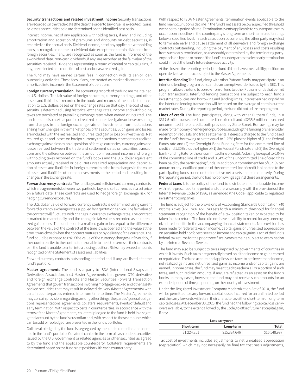**Security transactions and related investment income** Security transactions are recorded on the trade date (the date the order to buy or sell is executed). Gains or losses on securities sold are determined on the identified cost basis.

Interest income, net of any applicable withholding taxes, if any, and including amortization and accretion of premiums and discounts on debt securities, is recorded on the accrual basis. Dividend income, net of any applicable withholding taxes, is recognized on the ex-dividend date except that certain dividends from foreign securities, if any, are recognized as soon as the fund is informed of the ex-dividend date. Non-cash dividends, if any, are recorded at the fair value of the securities received. Dividends representing a return of capital or capital gains, if any, are reflected as a reduction of cost and/or as a realized gain.

The fund may have earned certain fees in connection with its senior loan purchasing activities. These fees, if any, are treated as market discount and are amortized into income in the Statement of operations.

**Foreign currency translation** The accounting records of the fund are maintained in U.S. dollars. The fair value of foreign securities, currency holdings, and other assets and liabilities is recorded in the books and records of the fund after translation to U.S. dollars based on the exchange rates on that day. The cost of each security is determined using historical exchange rates. Income and withholding taxes are translated at prevailing exchange rates when earned or incurred. The fund does not isolate that portion of realized or unrealized gains or losses resulting from changes in the foreign exchange rate on investments from fluctuations arising from changes in the market prices of the securities. Such gains and losses are included with the net realized and unrealized gain or loss on investments. Net realized gains and losses on foreign currency transactions represent net realized exchange gains or losses on disposition of foreign currencies, currency gains and losses realized between the trade and settlement dates on securities transactions and the difference between the amount of investment income and foreign withholding taxes recorded on the fund's books and the U.S. dollar equivalent amounts actually received or paid. Net unrealized appreciation and depreciation of assets and liabilities in foreign currencies arise from changes in the value of assets and liabilities other than investments at the period end, resulting from changes in the exchange rate.

**Forward currency contracts** The fund buys and sells forward currency contracts, which are agreements between two parties to buy and sell currencies at a set price on a future date. These contracts are used to hedge foreign exchange risk, for hedging currency exposures.

The U.S. dollar value of forward currency contracts is determined using current forward currency exchange rates supplied by a quotation service. The fair value of the contract will fluctuate with changes in currency exchange rates. The contract is marked to market daily and the change in fair value is recorded as an unrealized gain or loss. The fund records a realized gain or loss equal to the difference between the value of the contract at the time it was opened and the value at the time it was closed when the contract matures or by delivery of the currency. The fund could be exposed to risk if the value of the currency changes unfavorably, if the counterparties to the contracts are unable to meet the terms of their contracts or if the fund is unable to enter into a closing position. Risks may exceed amounts recognized on the Statement of assets and liabilities.

Forward currency contracts outstanding at period end, if any, are listed after the fund's portfolio.

**Master agreements** The fund is a party to ISDA (International Swaps and Derivatives Association, Inc.) Master Agreements that govern OTC derivative and foreign exchange contracts and Master Securities Forward Transaction Agreements that govern transactions involving mortgage-backed and other assetbacked securities that may result in delayed delivery (Master Agreements) with certain counterparties entered into from time to time. The Master Agreements may contain provisions regarding, among other things, the parties' general obligations, representations, agreements, collateral requirements, events of default and early termination. With respect to certain counterparties, in accordance with the terms of the Master Agreements, collateral pledged to the fund is held in a segregated account by the fund's custodian and, with respect to those amounts which can be sold or repledged, are presented in the fund's portfolio.

Collateral pledged by the fund is segregated by the fund's custodian and identified in the fund's portfolio. Collateral can be in the form of cash or debt securities issued by the U.S. Government or related agencies or other securities as agreed to by the fund and the applicable counterparty. Collateral requirements are determined based on the fund's net position with each counterparty.

With respect to ISDA Master Agreements, termination events applicable to the fund may occur upon a decline in the fund's net assets below a specified threshold over a certain period of time. Termination events applicable to counterparties may occur upon a decline in the counterparty's long-term or short-term credit ratings below a specified level. In each case, upon occurrence, the other party may elect to terminate early and cause settlement of all derivative and foreign exchange contracts outstanding, including the payment of any losses and costs resulting from such early termination, as reasonably determined by the terminating party. Any decision by one or more of the fund's counterparties to elect early termination could impact the fund's future derivative activity.

At the close of the reporting period, the fund did not have a net liability position on open derivative contracts subject to the Master Agreements**.**

**Interfund lending** The fund, along with other Putnam funds, may participate in an interfund lending program pursuant to an exemptive order issued by the SEC. This program allows the fund to borrow from or lend to other Putnam funds that permit such transactions. Interfund lending transactions are subject to each fund's investment policies and borrowing and lending limits. Interest earned or paid on the interfund lending transaction will be based on the average of certain current market rates. During the reporting period, the fund did not utilize the program.

**Lines of credit** The fund participates, along with other Putnam funds, in a \$317.5 million unsecured committed line of credit and a \$235.5 million unsecured uncommitted line of credit, both provided by State Street. Borrowings may be made for temporary or emergency purposes, including the funding of shareholder redemption requests and trade settlements. Interest is charged to the fund based on the fund's borrowing at a rate equal to 1.25% plus the higher of (1) the Federal Funds rate and (2) the Overnight Bank Funding Rate for the committed line of credit and 1.30% plus the higher of (1) the Federal Funds rate and (2) the Overnight Bank Funding Rate for the uncommitted line of credit. A closing fee equal to 0.04% of the committed line of credit and 0.04% of the uncommitted line of credit has been paid by the participating funds. In addition, a commitment fee of 0.21% per annum on any unutilized portion of the committed line of credit is allocated to the participating funds based on their relative net assets and paid quarterly. During the reporting period, the fund had no borrowings against these arrangements.

**Federal taxes** It is the policy of the fund to distribute all of its taxable income within the prescribed time period and otherwise comply with the provisions of the Internal Revenue Code of 1986, as amended (the Code), applicable to regulated investment companies.

The fund is subject to the provisions of Accounting Standards Codification 740 *Income Taxes* (ASC 740). ASC 740 sets forth a minimum threshold for financial statement recognition of the benefit of a tax position taken or expected to be taken in a tax return. The fund did not have a liability to record for any unrecognized tax benefits in the accompanying financial statements. No provision has been made for federal taxes on income, capital gains or unrealized appreciation on securities held nor for excise tax on income and capital gains. Each of the fund's federal tax returns for the prior three fiscal years remains subject to examination by the Internal Revenue Service.

The fund may also be subject to taxes imposed by governments of countries in which it invests. Such taxes are generally based on either income or gains earned or repatriated. The fund accrues and applies such taxes to net investment income, net realized gains and net unrealized gains as income and/or capital gains are earned. In some cases, the fund may be entitled to reclaim all or a portion of such taxes, and such reclaim amounts, if any, are reflected as an asset on the fund's books. In many cases, however, the fund may not receive such amounts for an extended period of time, depending on the country of investment.

Under the Regulated Investment Company Modernization Act of 2010, the fund will be permitted to carry forward capital losses incurred for an unlimited period and the carry forwards will retain their character as either short-term or long-term capital losses. At December 30, 2020, the fund had the following capital loss carryovers available, to the extent allowed by the Code, to offset future net capital gain, if any:

| Loss carryover |              |              |  |  |
|----------------|--------------|--------------|--|--|
| Short-term     | Total        |              |  |  |
| \$1,224,351    | \$15,324,646 | \$16,548,997 |  |  |

Tax cost of investments includes adjustments to net unrealized appreciation (depreciation) which may not necessarily be final tax cost basis adjustments,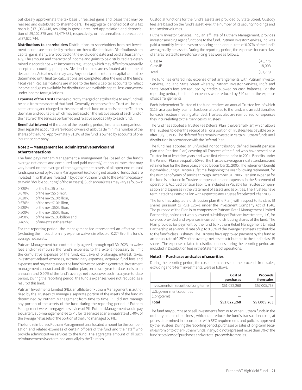but closely approximate the tax basis unrealized gains and losses that may be realized and distributed to shareholders. The aggregate identified cost on a tax basis is \$171,066,448, resulting in gross unrealized appreciation and depreciation of \$9,102,375 and \$1,479,631, respectively, or net unrealized appreciation of \$7,622,744.

**Distributions to shareholders** Distributions to shareholders from net investment income are recorded by the fund on the ex-dividend date. Distributions from capital gains, if any, are recorded on the ex-dividend date and paid at least annually. The amount and character of income and gains to be distributed are determined in accordance with income tax regulations, which may differ from generally accepted accounting principles. Dividend sources are estimated at the time of declaration. Actual results may vary. Any non-taxable return of capital cannot be determined until final tax calculations are completed after the end of the fund's fiscal year. Reclassifications are made to the fund's capital accounts to reflect income and gains available for distribution (or available capital loss carryovers) under income tax regulations.

**Expenses of the Trust** Expenses directly charged or attributable to any fund will be paid from the assets of that fund. Generally, expenses of the Trust will be allocated among and charged to the assets of each fund on a basis that the Trustees deem fair and equitable, which may be based on the relative assets of each fund or the nature of the services performed and relative applicability to each fund.

**Beneficial interest** At the close of the reporting period, insurance companies or their separate accounts were record owners of all but a de minimis number of the shares of the fund. Approximately 31.2% of the fund is owned by accounts of one insurance company.

#### **Note 2 — Management fee, administrative services and other transactions**

The fund pays Putnam Management a management fee (based on the fund's average net assets and computed and paid monthly) at annual rates that may vary based on the average of the aggregate net assets of all open-end mutual funds sponsored by Putnam Management (excluding net assets of funds that are invested in, or that are invested in by, other Putnam funds to the extent necessary to avoid "double counting" of those assets). Such annual rates may vary as follows:

| 0.720% | of the first \$5 billion,     |
|--------|-------------------------------|
| 0.670% | of the next \$5 billion,      |
| 0.620% | of the next \$10 billion,     |
| 0.570% | of the next \$10 billion,     |
| 0.520% | of the next \$50 billion,     |
| 0.500% | of the next \$50 billion,     |
| 0.490% | of the next \$100 billion and |
| 0.485% | of any excess thereafter.     |

For the reporting period, the management fee represented an effective rate (excluding the impact from any expense waivers in effect) of 0.274% of the fund's average net assets.

Putnam Management has contractually agreed, through April 30, 2023, to waive fees and/or reimburse the fund's expenses to the extent necessary to limit the cumulative expenses of the fund, exclusive of brokerage, interest, taxes, investment-related expenses, extraordinary expenses, acquired fund fees and expenses and payments under the fund's investor servicing contract, investment management contract and distribution plan, on a fiscal year-to-date basis to an annual rate of 0.20% of the fund's average net assets over such fiscal year-to-date period. During the reporting period, the fund's expenses were not reduced as a result of this limit.

Putnam Investments Limited (PIL), an affiliate of Putnam Management, is authorized by the Trustees to manage a separate portion of the assets of the fund as determined by Putnam Management from time to time. PIL did not manage any portion of the assets of the fund during the reporting period. If Putnam Management were to engage the services of PIL, Putnam Management would pay a quarterly sub-management fee to PIL for its services at an annual rate of 0.40% of the average net assets of the portion of the fund managed by PIL.

The fund reimburses Putnam Management an allocated amount for the compensation and related expenses of certain officers of the fund and their staff who provide administrative services to the fund. The aggregate amount of all such reimbursements is determined annually by the Trustees.

Custodial functions for the fund's assets are provided by State Street. Custody fees are based on the fund's asset level, the number of its security holdings and transaction volumes.

Putnam Investor Services, Inc., an affiliate of Putnam Management, provides investor servicing agent functions to the fund. Putnam Investor Services, Inc. was paid a monthly fee for investor servicing at an annual rate of 0.07% of the fund's average daily net assets. During the reporting period, the expenses for each class of shares related to investor servicing fees were as follows:

| Class IA | \$43,776 |
|----------|----------|
| Class IB | 18.003   |
| Total    | \$61,779 |

The fund has entered into expense offset arrangements with Putnam Investor Services, Inc. and State Street whereby Putnam Investor Services, Inc.'s and State Street's fees are reduced by credits allowed on cash balances. For the reporting period, the fund's expenses were reduced by \$40 under the expense offset arrangements.

Each Independent Trustee of the fund receives an annual Trustee fee, of which \$115, as a quarterly retainer, has been allocated to the fund, and an additional fee for each Trustees meeting attended. Trustees also are reimbursed for expenses they incur relating to their services as Trustees.

The fund has adopted a Trustee Fee Deferral Plan (the Deferral Plan) which allows the Trustees to defer the receipt of all or a portion of Trustees fees payable on or after July 1, 1995. The deferred fees remain invested in certain Putnam funds until distribution in accordance with the Deferral Plan.

The fund has adopted an unfunded noncontributory defined benefit pension plan (the Pension Plan) covering all Trustees of the fund who have served as a Trustee for at least five years and were first elected prior to 2004. Benefits under the Pension Plan are equal to 50% of the Trustee's average annual attendance and retainer fees for the three years ended December 31, 2005. The retirement benefit is payable during a Trustee's lifetime, beginning the year following retirement, for the number of years of service through December 31, 2006. Pension expense for the fund is included in Trustee compensation and expenses in the Statement of operations. Accrued pension liability is included in Payable for Trustee compensation and expenses in the Statement of assets and liabilities. The Trustees have terminated the Pension Plan with respect to any Trustee first elected after 2003.

The fund has adopted a distribution plan (the Plan) with respect to its class IB shares pursuant to Rule 12b–1 under the Investment Company Act of 1940. The purpose of the Plan is to compensate Putnam Retail Management Limited Partnership, an indirect wholly-owned subsidiary of Putnam Investments, LLC, for services provided and expenses incurred in distributing shares of the fund. The Plan provides for payment by the fund to Putnam Retail Management Limited Partnership at an annual rate of up to 0.35% of the average net assets attributable to the fund's class IB shares. The Trustees have approved payment by the fund at an annual rate of 0.25% of the average net assets attributable to the fund's class IB shares. The expenses related to distribution fees during the reporting period are included in Distribution fees in the Statement of operations.

#### **Note 3 — Purchases and sales of securities**

During the reporting period, the cost of purchases and the proceeds from sales, excluding short-term investments, were as follows:

|                                           | Cost of<br>purchases | Proceeds<br>from sales |
|-------------------------------------------|----------------------|------------------------|
| Investments in securities (Long-term)     | \$51,022,268         | \$57,005,763           |
| U.S. government securities<br>(Long-term) |                      |                        |
| Total                                     | \$51,022,268         | \$57,005,763           |

The fund may purchase or sell investments from or to other Putnam funds in the ordinary course of business, which can reduce the fund's transaction costs, at prices determined in accordance with SEC requirements and policies approved by the Trustees. During the reporting period, purchases or sales of long-term securities from or to other Putnam funds, if any, did not represent more than 5% of the fund's total cost of purchases and/or total proceeds from sales.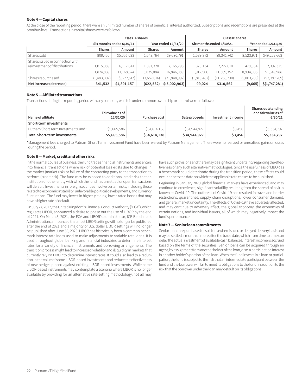#### **Note 4 — Capital shares**

At the close of the reporting period, there were an unlimited number of shares of beneficial interest authorized. Subscriptions and redemptions are presented at the omnibus level. Transactions in capital shares were as follows:

|                                                                   | Class IA shares          |             |                     |                |                                                 | Class IB shares |               |                |
|-------------------------------------------------------------------|--------------------------|-------------|---------------------|----------------|-------------------------------------------------|-----------------|---------------|----------------|
|                                                                   | Six months ended 6/30/21 |             | Year ended 12/31/20 |                | Six months ended 6/30/21<br>Year ended 12/31/20 |                 |               |                |
|                                                                   | <b>Shares</b>            | Amount      | <b>Shares</b>       | Amount         | <b>Shares</b>                                   | Amount          | <b>Shares</b> | Amount         |
| Shares sold                                                       | 809,450                  | \$5,056,033 | 1,643,764           | \$9,680,791    | 1,539,372                                       | \$9,341,742     | 8,523,971     | \$49,252,663   |
| Shares issued in connection with<br>reinvestment of distributions | 1,015,389                | 6,112,641   | 1,391,320           | 7,165,298      | 373,134                                         | 2,227,610       | 470,064       | 2,397,325      |
|                                                                   | 1,824,839                | 11,168,674  | 3,035,084           | 16,846,089     | 1,912,506                                       | 11,569,352      | 8,994,035     | 51,649,988     |
| Shares repurchased                                                | (1,483,307)              | (9,277,517) | (3,657,616)         | (21, 848, 992) | (1,813,482)                                     | (11, 258, 790)  | (9,003,700)   | (53, 397, 269) |
| Net increase (decrease)                                           | 341,532                  | \$1,891,157 | (622, 532)          | \$(5,002,903)  | 99,024                                          | \$310,562       | (9,665)       | \$(1,747,281)  |

#### **Note 5 — Affiliated transactions**

Transactions during the reporting period with any company which is under common ownership or control were as follows:

| Name of affiliate                   | Fair value as of<br>12/31/20 | Purchase cost | Sale proceeds | Investment income | Shares outstanding<br>and fair value as of<br>6/30/21 |
|-------------------------------------|------------------------------|---------------|---------------|-------------------|-------------------------------------------------------|
| Short-term investments              |                              |               |               |                   |                                                       |
| Putnam Short Term Investment Fund*  | \$5,665,586                  | \$34,614,138  | \$34,944,927  | \$3,456           | \$5,334,797                                           |
| <b>Total Short-term investments</b> | \$5,665,586                  | \$34,614,138  | \$34,944,927  | \$3,456           | \$5,334,797                                           |

\*Management fees charged to Putnam Short Term Investment Fund have been waived by Putnam Management. There were no realized or unrealized gains or losses during the period.

#### **Note 6 — Market, credit and other risks**

In the normal course of business, the fund trades financial instruments and enters into financial transactions where risk of potential loss exists due to changes in the market (market risk) or failure of the contracting party to the transaction to perform (credit risk). The fund may be exposed to additional credit risk that an institution or other entity with which the fund has unsettled or open transactions will default. Investments in foreign securities involve certain risks, including those related to economic instability, unfavorable political developments, and currency fluctuations. The fund may invest in higher-yielding, lower-rated bonds that may have a higher rate of default.

On July 27, 2017, the United Kingdom's Financial Conduct Authority ("FCA"), which regulates LIBOR, announced a desire to phase out the use of LIBOR by the end of 2021. On March 5, 2021, the FCA and LIBOR's administrator, ICE Benchmark Administration, announced that most LIBOR settings will no longer be published after the end of 2021 and a majority of U.S. dollar LIBOR settings will no longer be published after June 30, 2023. LIBOR has historically been a common benchmark interest rate index used to make adjustments to variable-rate loans. It is used throughout global banking and financial industries to determine interest rates for a variety of financial instruments and borrowing arrangements. The transition process might lead to increased volatility and illiquidity in markets that currently rely on LIBOR to determine interest rates. It could also lead to a reduction in the value of some LIBOR-based investments and reduce the effectiveness of new hedges placed against existing LIBOR-based investments. While some LIBOR-based instruments may contemplate a scenario where LIBOR is no longer available by providing for an alternative rate-setting methodology, not all may

have such provisions and there may be significant uncertainty regarding the effectiveness of any such alternative methodologies. Since the usefulness of LIBOR as a benchmark could deteriorate during the transition period, these effects could occur prior to the date on which the applicable rate ceases to be published.

Beginning in January 2020, global financial markets have experienced, and may continue to experience, significant volatility resulting from the spread of a virus known as Covid–19. The outbreak of Covid–19 has resulted in travel and border restrictions, quarantines, supply chain disruptions, lower consumer demand, and general market uncertainty. The effects of Covid–19 have adversely affected, and may continue to adversely affect, the global economy, the economies of certain nations, and individual issuers, all of which may negatively impact the fund's performance.

#### **Note 7 — Senior loan commitments**

Senior loans are purchased or sold on a when-issued or delayed delivery basis and may be settled a month or more after the trade date, which from time to time can delay the actual investment of available cash balances; interest income is accrued based on the terms of the securities. Senior loans can be acquired through an agent, by assignment from another holder of the loan, or as a participation interest in another holder's portion of the loan. When the fund invests in a loan or participation, the fund is subject to the risk that an intermediate participant between the fund and the borrower will fail to meet its obligations to the fund, in addition to the risk that the borrower under the loan may default on its obligations.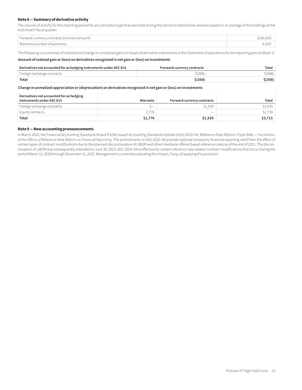#### **Note 8 — Summary of derivative activity**

The volume of activity for the reporting period for any derivative type that was held during the period is listed below and was based on an average of the holdings at the end of each fiscal quarter:

| Forward currency contracts (contract amount) | ۔260,000 |
|----------------------------------------------|----------|
| Warrants (number of warrants)                | 6,000    |

The following is a summary of realized and change in unrealized gains or losses of derivative instruments in the Statement of operations for the reporting period (Note 1):

#### **Amount of realized gain or (loss) on derivatives recognized in net gain or (loss) on investments**

 $\pm$ 

| Derivatives not accounted for as hedging instruments under ASC 815 | <b>Forward currency contracts</b> | Total   |
|--------------------------------------------------------------------|-----------------------------------|---------|
| Foreign exchange contracts                                         | \$(388)                           | S(388)  |
| Total                                                              | \$(388)                           | \$(388) |

#### **Change in unrealized appreciation or (depreciation) on derivatives recognized in net gain or (loss) on investments**

| Derivatives not accounted for as hedging |          |                            |         |
|------------------------------------------|----------|----------------------------|---------|
| instruments under ASC 815                | Warrants | Forward currency contracts | Total   |
| Foreign exchange contracts               |          | \$1,939                    | \$1,939 |
| Equity contracts                         | 1,776    |                            | \$1,776 |
| Total                                    | \$1,776  | \$1,939                    | \$3,715 |

 $\pm$ 

#### **Note 9 — New accounting pronouncements**

In March 2020, the Financial Accounting Standards Board (FASB) issued Accounting Standards Update (ASU) 2020–04, Reference Rate Reform (Topic 848) — *Facilitation of the Effects of Reference Rate Reform on Financial Reporting*. The amendments in ASU 2020–04 provide optional temporary financial reporting relief from the effect of certain types of contract modifications due to the planned discontinuation of LIBOR and other interbank-offered based reference rates as of the end of 2021. The discontinuation of LIBOR was subsequently extended to June 30, 2023. ASU 2020–04 is effective for certain reference rate-related contract modifications that occur during the period March 12, 2020 through December 31, 2022. Management is currently evaluating the impact, if any, of applying this provision.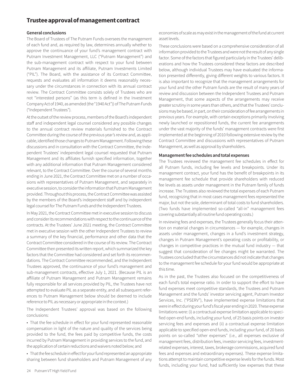### **Trustee approval of management contract**

#### **General conclusions**

The Board of Trustees of The Putnam Funds oversees the management of each fund and, as required by law, determines annually whether to approve the continuance of your fund's management contract with Putnam Investment Management, LLC ("Putnam Management") and the sub-management contract with respect to your fund between Putnam Management and its affiliate, Putnam Investments Limited ("PIL"). The Board, with the assistance of its Contract Committee, requests and evaluates all information it deems reasonably necessary under the circumstances in connection with its annual contract review. The Contract Committee consists solely of Trustees who are not "interested persons" (as this term is defined in the Investment Company Act of 1940, as amended (the "1940 Act")) of The Putnam Funds ("Independent Trustees").

At the outset of the review process, members of the Board's independent staff and independent legal counsel considered any possible changes to the annual contract review materials furnished to the Contract Committee during the course of the previous year's review and, as applicable, identified those changes to Putnam Management. Following these discussions and in consultation with the Contract Committee, the Independent Trustees' independent legal counsel requested that Putnam Management and its affiliates furnish specified information, together with any additional information that Putnam Management considered relevant, to the Contract Committee. Over the course of several months ending in June 2021, the Contract Committee met on a number of occasions with representatives of Putnam Management, and separately in executive session, to consider the information that Putnam Management provided. Throughout this process, the Contract Committee was assisted by the members of the Board's independent staff and by independent legal counsel for The Putnam Funds and the Independent Trustees.

In May 2021, the Contract Committee met in executive session to discuss and consider its recommendations with respect to the continuance of the contracts. At the Trustees' June 2021 meeting, the Contract Committee met in executive session with the other Independent Trustees to review a summary of the key financial, performance and other data that the Contract Committee considered in the course of its review. The Contract Committee then presented its written report, which summarized the key factors that the Committee had considered and set forth its recommendations. The Contract Committee recommended, and the Independent Trustees approved, the continuance of your fund's management and sub-management contracts, effective July 1, 2021. (Because PIL is an affiliate of Putnam Management and Putnam Management remains fully responsible for all services provided by PIL, the Trustees have not attempted to evaluate PIL as a separate entity, and all subsequent references to Putnam Management below should be deemed to include reference to PIL as necessary or appropriate in the context.)

The Independent Trustees' approval was based on the following conclusions:

• That the fee schedule in effect for your fund represented reasonable compensation in light of the nature and quality of the services being provided to the fund, the fees paid by competitive funds, the costs incurred by Putnam Management in providing services to the fund, and the application of certain reductions and waivers noted below; and

• That the fee schedule in effect for your fund represented an appropriate sharing between fund shareholders and Putnam Management of any economies of scale as may exist in the management of the fund at current asset levels.

These conclusions were based on a comprehensive consideration of all information provided to the Trustees and were not the result of any single factor. Some of the factors that figured particularly in the Trustees' deliberations and how the Trustees considered these factors are described below, although individual Trustees may have evaluated the information presented differently, giving different weights to various factors. It is also important to recognize that the management arrangements for your fund and the other Putnam funds are the result of many years of review and discussion between the Independent Trustees and Putnam Management, that some aspects of the arrangements may receive greater scrutiny in some years than others, and that the Trustees' conclusions may be based, in part, on their consideration of fee arrangements in previous years. For example, with certain exceptions primarily involving newly launched or repositioned funds, the current fee arrangements under the vast majority of the funds' management contracts were first implemented at the beginning of 2010 following extensive review by the Contract Committee and discussions with representatives of Putnam Management, as well as approval by shareholders.

#### **Management fee schedules and total expenses**

The Trustees reviewed the management fee schedules in effect for all Putnam funds, including fee levels and breakpoints. Under its management contract, your fund has the benefit of breakpoints in its management fee schedule that provide shareholders with reduced fee levels as assets under management in the Putnam family of funds increase. The Trustees also reviewed the total expenses of each Putnam fund, recognizing that in most cases management fees represented the major, but not the sole, determinant of total costs to fund shareholders. (Two funds have implemented so-called "all-in" management fees covering substantially all routine fund operating costs.)

In reviewing fees and expenses, the Trustees generally focus their attention on material changes in circumstances — for example, changes in assets under management, changes in a fund's investment strategy, changes in Putnam Management's operating costs or profitability, or changes in competitive practices in the mutual fund industry — that suggest that consideration of fee changes might be warranted. The Trustees concluded that the circumstances did not indicate that changes to the management fee schedule for your fund would be appropriate at this time.

As in the past, the Trustees also focused on the competitiveness of each fund's total expense ratio. In order to support the effort to have fund expenses meet competitive standards, the Trustees and Putnam Management and the funds' investor servicing agent, Putnam Investor Services, Inc. ("PSERV"), have implemented expense limitations that were in effect during your fund's fiscal year ending in 2020. These expense limitations were: (i) a contractual expense limitation applicable to specified open-end funds, including your fund, of 25 basis points on investor servicing fees and expenses and (ii) a contractual expense limitation applicable to specified open-end funds, including your fund, of 20 basis points on so-called "other expenses" (i.e., all expenses exclusive of management fees, distribution fees, investor servicing fees, investmentrelated expenses, interest, taxes, brokerage commissions, acquired fund fees and expenses and extraordinary expenses). These expense limitations attempt to maintain competitive expense levels for the funds. Most funds, including your fund, had sufficiently low expenses that these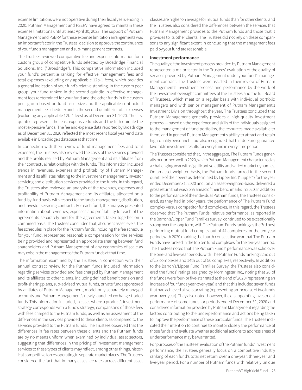expense limitations were not operative during their fiscal years ending in 2020. Putnam Management and PSERV have agreed to maintain these expense limitations until at least April 30, 2023. The support of Putnam Management and PSERV for these expense limitation arrangements was an important factor in the Trustees' decision to approve the continuance of your fund's management and sub-management contracts.

The Trustees reviewed comparative fee and expense information for a custom group of competitive funds selected by Broadridge Financial Solutions, Inc. ("Broadridge"). This comparative information included your fund's percentile ranking for effective management fees and total expenses (excluding any applicable 12b-1 fees), which provides a general indication of your fund's relative standing. In the custom peer group, your fund ranked in the second quintile in effective management fees (determined for your fund and the other funds in the custom peer group based on fund asset size and the applicable contractual management fee schedule) and in the second quintile in total expenses (excluding any applicable 12b-1 fees) as of December 31, 2020. The first quintile represents the least expensive funds and the fifth quintile the most expensive funds. The fee and expense data reported by Broadridge as of December 31, 2020 reflected the most recent fiscal year-end data available in Broadridge's database at that time.

In connection with their review of fund management fees and total expenses, the Trustees also reviewed the costs of the services provided and the profits realized by Putnam Management and its affiliates from their contractual relationships with the funds. This information included trends in revenues, expenses and profitability of Putnam Management and its affiliates relating to the investment management, investor servicing and distribution services provided to the funds. In this regard, the Trustees also reviewed an analysis of the revenues, expenses and profitability of Putnam Management and its affiliates, allocated on a fund-by-fund basis, with respect to the funds' management, distribution, and investor servicing contracts. For each fund, the analysis presented information about revenues, expenses and profitability for each of the agreements separately and for the agreements taken together on a combined basis. The Trustees concluded that, at current asset levels, the fee schedules in place for the Putnam funds, including the fee schedule for your fund, represented reasonable compensation for the services being provided and represented an appropriate sharing between fund shareholders and Putnam Management of any economies of scale as may exist in the management of the Putnam funds at that time.

The information examined by the Trustees in connection with their annual contract review for the Putnam funds included information regarding services provided and fees charged by Putnam Management and its affiliates to other clients, including defined benefit pension and profit-sharing plans, sub-advised mutual funds, private funds sponsored by affiliates of Putnam Management, model-only separately managed accounts and Putnam Management's newly launched exchange-traded funds. This information included, in cases where a product's investment strategy corresponds with a fund's strategy, comparisons of those fees with fees charged to the Putnam funds, as well as an assessment of the differences in the services provided to these clients as compared to the services provided to the Putnam funds. The Trustees observed that the differences in fee rates between these clients and the Putnam funds are by no means uniform when examined by individual asset sectors, suggesting that differences in the pricing of investment management services to these types of clients may reflect, among other things, historical competitive forces operating in separate marketplaces. The Trustees considered the fact that in many cases fee rates across different asset classes are higher on average for mutual funds than for other clients, and the Trustees also considered the differences between the services that Putnam Management provides to the Putnam funds and those that it provides to its other clients. The Trustees did not rely on these comparisons to any significant extent in concluding that the management fees paid by your fund are reasonable.

#### **Investment performance**

The quality of the investment process provided by Putnam Management represented a major factor in the Trustees' evaluation of the quality of services provided by Putnam Management under your fund's management contract. The Trustees were assisted in their review of Putnam Management's investment process and performance by the work of the investment oversight committees of the Trustees and the full Board of Trustees, which meet on a regular basis with individual portfolio managers and with senior management of Putnam Management's Investment Division throughout the year. The Trustees concluded that Putnam Management generally provides a high-quality investment process — based on the experience and skills of the individuals assigned to the management of fund portfolios, the resources made available to them, and in general Putnam Management's ability to attract and retain high-quality personnel — but also recognized that this does not guarantee favorable investment results for every fund in every time period.

The Trustees considered that, in the aggregate, The Putnam Funds generally performed well in 2020, which Putnam Management characterized as a challenging year with significant volatility and varied market dynamics. On an asset-weighted basis, the Putnam funds ranked in the second quartile of their peers as determined by Lipper Inc. ("Lipper") for the year ended December 31, 2020 and, on an asset-weighted-basis, delivered a gross return that was 2.3% ahead of their benchmarks in 2020. In addition to the performance of the individual Putnam funds, the Trustees considered, as they had in prior years, the performance of The Putnam Fund complex versus competitor fund complexes. In this regard, the Trustees observed that The Putnam Funds' relative performance, as reported in the Barron's/Lipper Fund Families survey, continued to be exceptionally strong over the long term, with The Putnam Funds ranking as the 3rd best performing mutual fund complex out of 44 complexes for the ten-year period, with 2020 marking the fourth consecutive year that The Putnam Funds have ranked in the top ten fund complexes for the ten-year period. The Trustees noted that The Putnam Funds' performance was solid over the one- and five-year periods, with The Putnam Funds ranking 22nd out of 53 complexes and 14th out of 50 complexes, respectively. In addition to the Barron's/Lipper Fund Families Survey, the Trustees also considered the funds' ratings assigned by Morningstar Inc., noting that 26 of the funds were four- or five-star rated at the end of 2020 (representing an increase of four funds year-over-year) and that this included seven funds that had achieved a five-star rating (representing an increase of two funds year-over-year). They also noted, however, the disappointing investment performance of some funds for periods ended December 31, 2020 and considered information provided by Putnam Management regarding the factors contributing to the underperformance and actions being taken to improve the performance of these particular funds. The Trustees indicated their intention to continue to monitor closely the performance of those funds and evaluate whether additional actions to address areas of underperformance may be warranted.

For purposes of the Trustees' evaluation of the Putnam funds' investment performance, the Trustees generally focus on a competitive industry ranking of each fund's total net return over a one-year, three-year and five-year period. For a number of Putnam funds with relatively unique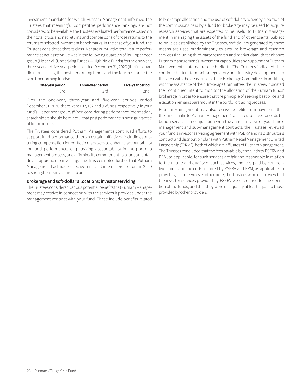investment mandates for which Putnam Management informed the Trustees that meaningful competitive performance rankings are not considered to be available, the Trustees evaluated performance based on their total gross and net returns and comparisons of those returns to the returns of selected investment benchmarks. In the case of your fund, the Trustees considered that its class IA share cumulative total return performance at net asset value was in the following quartiles of its Lipper peer group (Lipper VP (Underlying Funds) — High Yield Funds) for the one-year, three-year and five-year periods ended December 31, 2020 (the first quartile representing the best-performing funds and the fourth quartile the worst-performing funds):

| Five-year period | Three-year period | One-year period |
|------------------|-------------------|-----------------|
|                  |                   |                 |

Over the one-year, three-year and five-year periods ended December 31, 2020, there were 102, 102 and 96 funds, respectively, in your fund's Lipper peer group. (When considering performance information, shareholders should be mindful that past performance is not a guarantee of future results.)

The Trustees considered Putnam Management's continued efforts to support fund performance through certain initiatives, including structuring compensation for portfolio managers to enhance accountability for fund performance, emphasizing accountability in the portfolio management process, and affirming its commitment to a fundamentaldriven approach to investing. The Trustees noted further that Putnam Management had made selective hires and internal promotions in 2020 to strengthen its investment team.

#### **Brokerage and soft-dollar allocations; investor servicing**

The Trustees considered various potential benefits that Putnam Management may receive in connection with the services it provides under the management contract with your fund. These include benefits related to brokerage allocation and the use of soft dollars, whereby a portion of the commissions paid by a fund for brokerage may be used to acquire research services that are expected to be useful to Putnam Management in managing the assets of the fund and of other clients. Subject to policies established by the Trustees, soft dollars generated by these means are used predominantly to acquire brokerage and research services (including third-party research and market data) that enhance Putnam Management's investment capabilities and supplement Putnam Management's internal research efforts. The Trustees indicated their continued intent to monitor regulatory and industry developments in this area with the assistance of their Brokerage Committee. In addition, with the assistance of their Brokerage Committee, the Trustees indicated their continued intent to monitor the allocation of the Putnam funds' brokerage in order to ensure that the principle of seeking best price and execution remains paramount in the portfolio trading process.

Putnam Management may also receive benefits from payments that the funds make to Putnam Management's affiliates for investor or distribution services. In conjunction with the annual review of your fund's management and sub-management contracts, the Trustees reviewed your fund's investor servicing agreement with PSERV and its distributor's contract and distribution plans with Putnam Retail Management Limited Partnership ("PRM"), both of which are affiliates of Putnam Management. The Trustees concluded that the fees payable by the funds to PSERV and PRM, as applicable, for such services are fair and reasonable in relation to the nature and quality of such services, the fees paid by competitive funds, and the costs incurred by PSERV and PRM, as applicable, in providing such services. Furthermore, the Trustees were of the view that the investor services provided by PSERV were required for the operation of the funds, and that they were of a quality at least equal to those provided by other providers.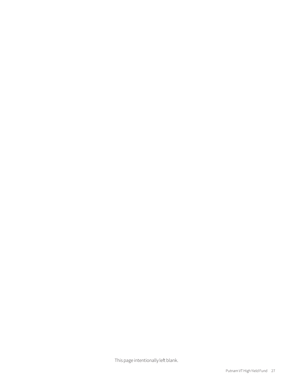This page intentionally left blank.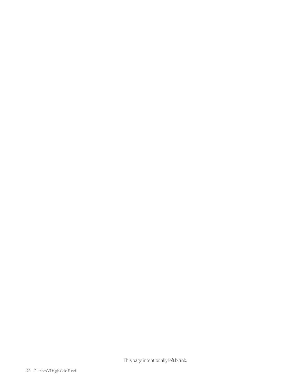This page intentionally left blank.